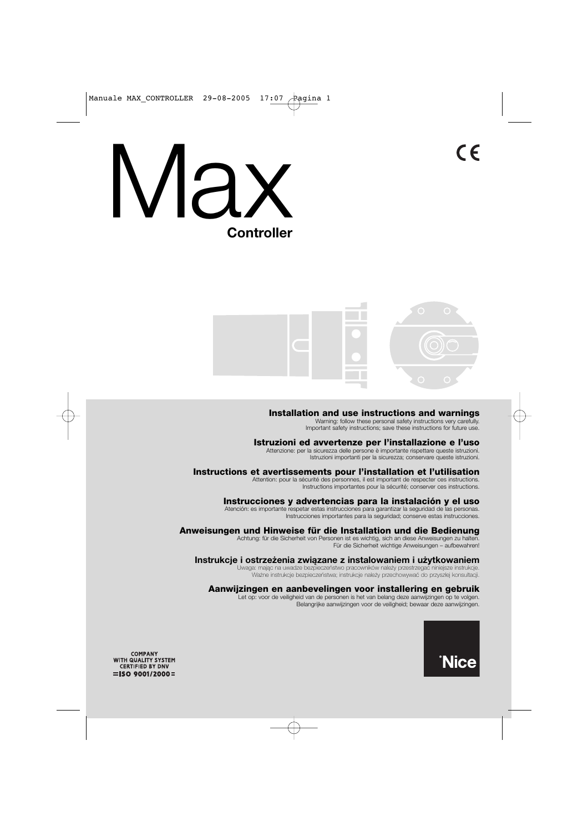



#### **Installation and use instructions and warnings**

Warning: follow these personal safety instructions very carefully. Important safety instructions; save these instructions for future use.

#### **Istruzioni ed avvertenze per l'installazione e l'uso**

Attenzione: per la sicurezza delle persone è importante rispettare queste istruzioni. Istruzioni importanti per la sicurezza; conservare queste istruzioni.

#### **Instructions et avertissements pour l'installation et l'utilisation**

Attention: pour la sécurité des personnes, il est important de respecter ces instructions. Instructions importantes pour la sécurité; conserver ces instructions.

#### **Instrucciones y advertencias para la instalación y el uso**

Atención: es importante respetar estas instrucciones para garantizar la seguridad de las personas. Instrucciones importantes para la seguridad; conserve estas instrucciones.

#### **Anweisungen und Hinweise für die Installation und die Bedienung**

Achtung: für die Sicherheit von Personen ist es wichtig, sich an diese Anweisungen zu halten. Für die Sicherheit wichtige Anweisungen – aufbewahren!

#### **Instrukcje i ostrzeżenia związane z instalowaniem i użytkowaniem**

Uwaga: mając na uwadze bezpieczeństwo pracowników należy przestrzegać niniejsze instrukcje. Ważne instrukcje bezpieczeństwa; instrukcje należy przechowywać do przyszłej konsultacji.

#### **Aanwijzingen en aanbevelingen voor installering en gebruik**

Let op: voor de veiligheid van de personen is het van belang deze aanwijzingen op te volgen. Belangrijke aanwijzingen voor de veiligheid; bewaar deze aanwijzingen.



COMPANY WITH QUALITY SYSTEM **CERTIFIED BY DNV**  $=$ ISO 9001/2000 $=$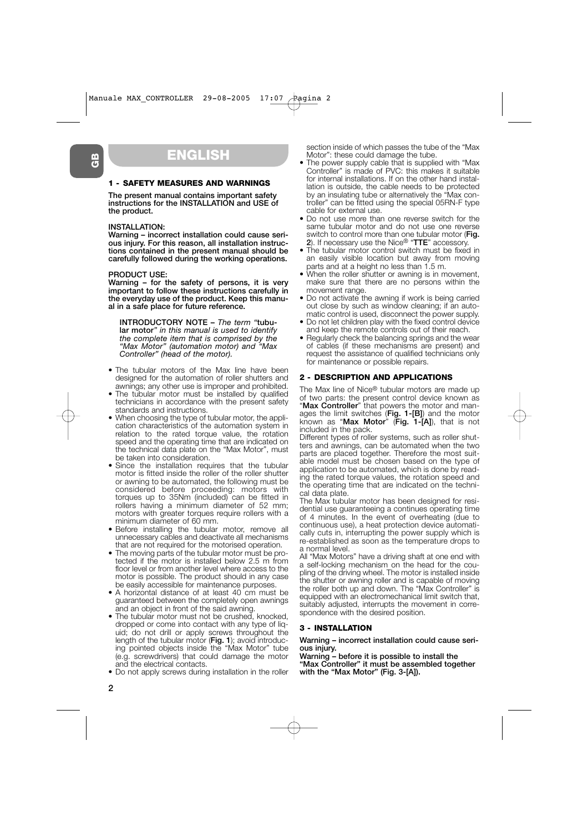#### **1 - SAFETY MEASURES AND WARNINGS**

**The present manual contains important safety instructions for the INSTALLATION and USE of the product.**

#### **INSTALLATION:**

**Warning – incorrect installation could cause serious injury. For this reason, all installation instructions contained in the present manual should be carefully followed during the working operations.**

#### **PRODUCT USE:**

**Warning – for the safety of persons, it is very important to follow these instructions carefully in the everyday use of the product. Keep this manual in a safe place for future reference.**

**INTRODUCTORY NOTE –** *The term "***tubular motor***" in this manual is used to identify the complete item that is comprised by the "Max Motor" (automation motor) and "Max Controller" (head of the motor).*

- The tubular motors of the Max line have been designed for the automation of roller shutters and awnings; any other use is improper and prohibited.
- The tubular motor must be installed by qualified technicians in accordance with the present safety standards and instructions.
- When choosing the type of tubular motor, the application characteristics of the automation system in relation to the rated torque value, the rotation speed and the operating time that are indicated on the technical data plate on the "Max Motor", must be taken into consideration.
- Since the installation requires that the tubular motor is fitted inside the roller of the roller shutter or awning to be automated, the following must be considered before proceeding: motors with torques up to 35Nm (included) can be fitted in rollers having a minimum diameter of 52 mm; motors with greater torques require rollers with a minimum diameter of 60 mm.
- Before installing the tubular motor, remove all unnecessary cables and deactivate all mechanisms that are not required for the motorised operation.
- The moving parts of the tubular motor must be protected if the motor is installed below 2.5 m from floor level or from another level where access to the motor is possible. The product should in any case be easily accessible for maintenance purposes.
- A horizontal distance of at least 40 cm must be guaranteed between the completely open awnings and an object in front of the said awning.
- The tubular motor must not be crushed, knocked, dropped or come into contact with any type of liquid; do not drill or apply screws throughout the length of the tubular motor (**Fig. 1**); avoid introducing pointed objects inside the "Max Motor" tube (e.g. screwdrivers) that could damage the motor and the electrical contacts.
- Do not apply screws during installation in the roller

section inside of which passes the tube of the "Max Motor": these could damage the tube.

- The power supply cable that is supplied with "Max" Controller" is made of PVC: this makes it suitable for internal installations. If on the other hand installation is outside, the cable needs to be protected by an insulating tube or alternatively the "Max controller" can be fitted using the special 05RN-F type cable for external use.
- Do not use more than one reverse switch for the same tubular motor and do not use one reverse switch to control more than one tubular motor (**Fig. 2**). If necessary use the Nice® "**TTE**" accessory.
- The tubular motor control switch must be fixed in an easily visible location but away from moving parts and at a height no less than 1.5 m.
- When the roller shutter or awning is in movement, make sure that there are no persons within the movement range.
- Do not activate the awning if work is being carried out close by such as window cleaning; if an automatic control is used, disconnect the power supply.
- Do not let children play with the fixed control device and keep the remote controls out of their reach.
- Regularly check the balancing springs and the wear of cables (if these mechanisms are present) and request the assistance of qualified technicians only for maintenance or possible repairs.

#### **2 - DESCRIPTION AND APPLICATIONS**

The Max line of Nice® tubular motors are made up of two parts: the present control device known as "**Max Controller**" that powers the motor and manages the limit switches (**Fig. 1-[B]**) and the motor known as "**Max Motor**" (**Fig. 1-[A]**), that is not included in the pack.

Different types of roller systems, such as roller shutters and awnings, can be automated when the two parts are placed together. Therefore the most suitable model must be chosen based on the type of application to be automated, which is done by reading the rated torque values, the rotation speed and the operating time that are indicated on the technical data plate.

The Max tubular motor has been designed for residential use guaranteeing a continues operating time of 4 minutes. In the event of overheating (due to continuous use), a heat protection device automatically cuts in, interrupting the power supply which is re-established as soon as the temperature drops to a normal level.

All "Max Motors" have a driving shaft at one end with a self-locking mechanism on the head for the coupling of the driving wheel. The motor is installed inside the shutter or awning roller and is capable of moving the roller both up and down. The "Max Controller" is equipped with an electromechanical limit switch that, suitably adjusted, interrupts the movement in correspondence with the desired position.

#### **3 - INSTALLATION**

**Warning – incorrect installation could cause serious injury.**

**Warning – before it is possible to install the "Max Controller" it must be assembled together with the "Max Motor" (Fig. 3-[A]).**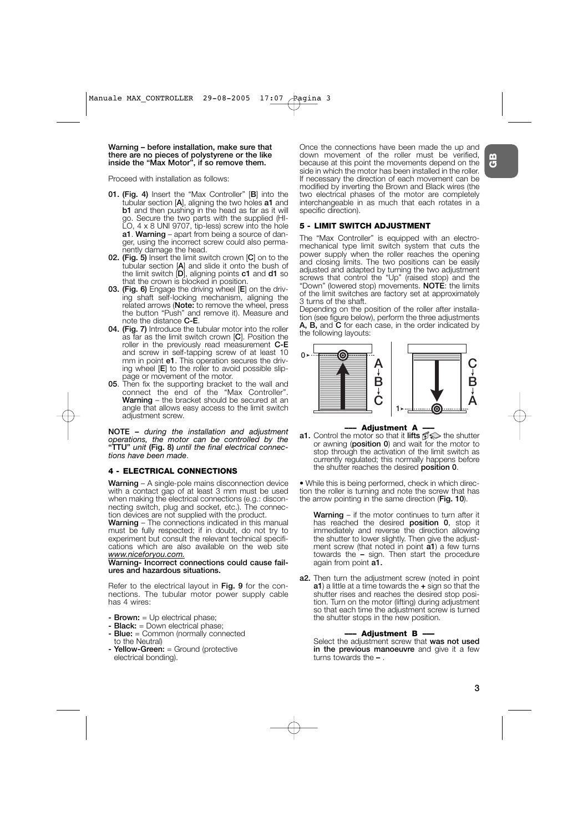**Warning – before installation, make sure that there are no pieces of polystyrene or the like inside the "Max Motor", if so remove them.**

Proceed with installation as follows:

- **01. (Fig. 4)** Insert the "Max Controller" [**B**] into the tubular section [**A**], aligning the two holes **a1** and **b1** and then pushing in the head as far as it will go. Secure the two parts with the supplied (HI- $LO$ ,  $4 \times 8$  UNI 9707, tip-less) screw into the hole **a1**. **Warning** – apart from being a source of danger, using the incorrect screw could also permanently damage the head.
- **02. (Fig. 5)** Insert the limit switch crown [**C**] on to the tubular section [**A**] and slide it onto the bush of the limit switch [**D**], aligning points **c1** and **d1** so that the crown is blocked in position.
- **03. (Fig. 6)** Engage the driving wheel [**E**] on the driving shaft self-locking mechanism, aligning the related arrows (**Note:** to remove the wheel, press the button "Push" and remove it). Measure and note the distance **C-E**.
- **04. (Fig. 7)** Introduce the tubular motor into the roller as far as the limit switch crown [**C**]. Position the roller in the previously read measurement **C-E** and screw in self-tapping screw of at least 10 mm in point **e1**. This operation secures the driving wheel [**E**] to the roller to avoid possible slippage or movement of the motor.
- **05**. Then fix the supporting bracket to the wall and connect the end of the "Max Controller". **Warning** – the bracket should be secured at an angle that allows easy access to the limit switch adjustment screw.

**NOTE –** *during the installation and adjustment operations, the motor can be controlled by the* **"TTU"** *unit* **(Fig. 8)** *until the final electrical connections have been made*.

#### **4 - ELECTRICAL CONNECTIONS**

**Warning** – A single-pole mains disconnection device with a contact gap of at least 3 mm must be used when making the electrical connections (e.g.: disconnecting switch, plug and socket, etc.). The connection devices are not supplied with the product.

**Warning** – The connections indicated in this manual must be fully respected; if in doubt, do not try to experiment but consult the relevant technical specifications which are also available on the web site

## *www.niceforyou.com.* **Warning- Incorrect connections could cause failures and hazardous situations.**

Refer to the electrical layout in **Fig. 9** for the connections. The tubular motor power supply cable has 4 wires:

- **Brown:** = Up electrical phase;
- **Black:** = Down electrical phase;
- **Blue:** = Common (normally connected to the Neutral)
- **Yellow-Green:** = Ground (protective electrical bonding).

Once the connections have been made the up and down movement of the roller must be verified, because at this point the movements depend on the side in which the motor has been installed in the roller. If necessary the direction of each movement can be modified by inverting the Brown and Black wires (the two electrical phases of the motor are completely interchangeable in as much that each rotates in a specific direction).

#### **5 - LIMIT SWITCH ADJUSTMENT**

The "Max Controller" is equipped with an electromechanical type limit switch system that cuts the power supply when the roller reaches the opening and closing limits. The two positions can be easily adjusted and adapted by turning the two adjustment screws that control the "Up" (raised stop) and the "Down" (lowered stop) movements. **NOTE**: the limits of the limit switches are factory set at approximately 3 turns of the shaft.

Depending on the position of the roller after installation (see figure below), perform the three adjustments **A, B,** and **C** for each case, in the order indicated by the following layouts:



#### **––– Adjustment A –––**

**a1.** Control the motor so that it **lifts**  $\mathcal{B}$   $\gg$  the shutter or awning (**position 0**) and wait for the motor to stop through the activation of the limit switch as currently regulated; this normally happens before the shutter reaches the desired **position 0**.

**•** While this is being performed, check in which direction the roller is turning and note the screw that has the arrow pointing in the same direction (**Fig. 10**).

**Warning** – if the motor continues to turn after it has reached the desired **position 0**, stop it immediately and reverse the direction allowing the shutter to lower slightly. Then give the adjustment screw (that noted in point **a1**) a few turns towards the **–** sign. Then start the procedure again from point **a1.**

**a2.** Then turn the adjustment screw (noted in point **a1**) a little at a time towards the **+** sign so that the shutter rises and reaches the desired stop position. Turn on the motor (lifting) during adjustment so that each time the adjustment screw is turned the shutter stops in the new position.

#### **––– Adjustment B –––**

Select the adjustment screw that **was not used in the previous manoeuvre** and give it a few turns towards the **–** .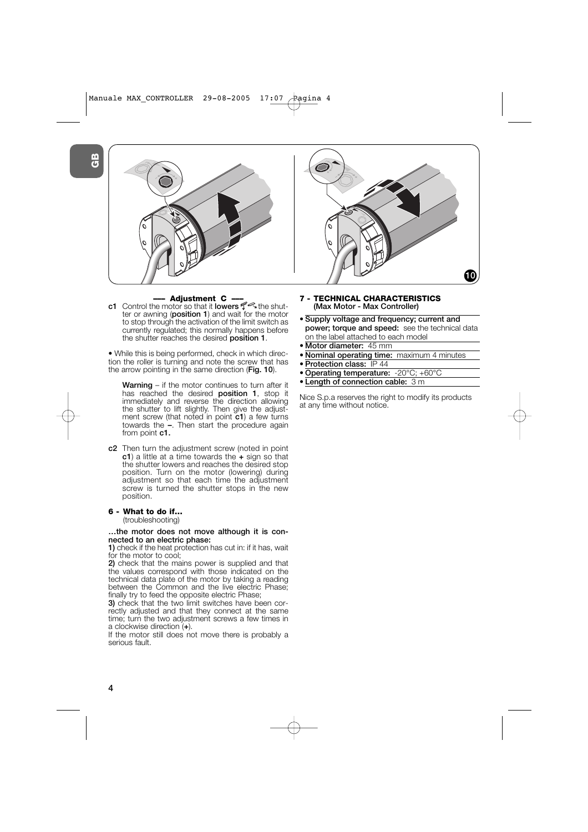

#### **––– Adjustment C –––**

**c1** Control the motor so that it **lowers**  $\lll$  the shutter or awning (**position 1**) and wait for the motor to stop through the activation of the limit switch as currently regulated; this normally happens before the shutter reaches the desired **position 1**.

**•** While this is being performed, check in which direction the roller is turning and note the screw that has the arrow pointing in the same direction (**Fig. 10**).

**Warning** – if the motor continues to turn after it has reached the desired **position 1**, stop it immediately and reverse the direction allowing the shutter to lift slightly. Then give the adjustment screw (that noted in point **c1**) a few turns towards the **–**. Then start the procedure again from point **c1.**

**c2** Then turn the adjustment screw (noted in point **c1**) a little at a time towards the **+** sign so that the shutter lowers and reaches the desired stop position. Turn on the motor (lowering) during adjustment so that each time the adjustment screw is turned the shutter stops in the new position.

#### **6 - What to do if…**

(troubleshooting)

**…the motor does not move although it is connected to an electric phase:**

**1)** check if the heat protection has cut in: if it has, wait for the motor to cool;

**2)** check that the mains power is supplied and that the values correspond with those indicated on the technical data plate of the motor by taking a reading between the Common and the live electric Phase; finally try to feed the opposite electric Phase;

**3)** check that the two limit switches have been correctly adjusted and that they connect at the same time; turn the two adjustment screws a few times in a clockwise direction (**+**).

If the motor still does not move there is probably a serious fault.



- **7 TECHNICAL CHARACTERISTICS (Max Motor - Max Controller)**
- **Supply voltage and frequency; current and power; torque and speed:** see the technical data on the label attached to each model
- **Motor diameter:** 45 mm
- **Nominal operating time:** maximum 4 minutes
- **Protection class:** IP 44
- **Operating temperature:** -20°C; +60°C
- **Length of connection cable:** 3 m

Nice S.p.a reserves the right to modify its products at any time without notice.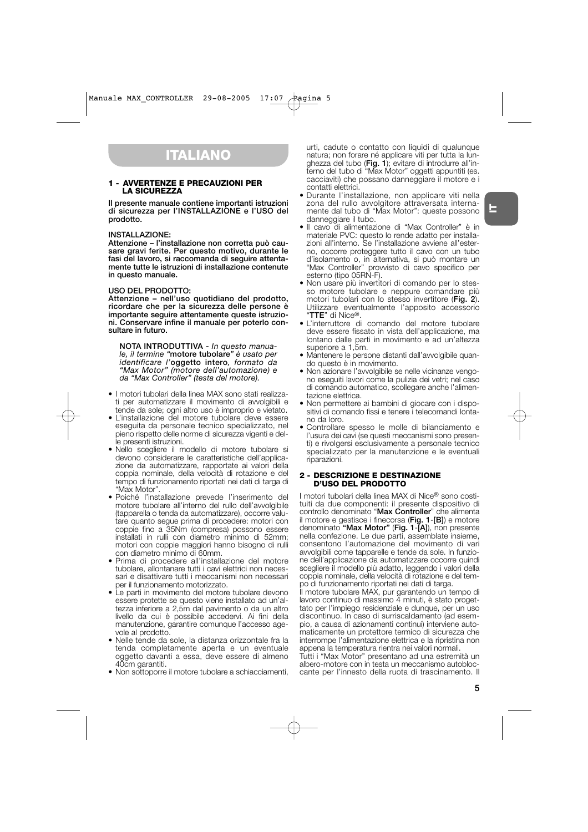#### **1 - AVVERTENZE E PRECAUZIONI PER LA SICUREZZA**

**Il presente manuale contiene importanti istruzioni di sicurezza per l'INSTALLAZIONE e l'USO del prodotto.**

#### **INSTALLAZIONE:**

**Attenzione – l'installazione non corretta può causare gravi ferite. Per questo motivo, durante le fasi del lavoro, si raccomanda di seguire attentamente tutte le istruzioni di installazione contenute in questo manuale.**

#### **USO DEL PRODOTTO:**

**Attenzione – nell'uso quotidiano del prodotto, ricordare che per la sicurezza delle persone è importante seguire attentamente queste istruzioni. Conservare infine il manuale per poterlo consultare in futuro.**

**NOTA INTRODUTTIVA -** *In questo manuale, il termine "***motore tubolare***" è usato per identificare l'***oggetto intero***, formato da "Max Motor" (motore dell'automazione) e da "Max Controller" (testa del motore).*

- I motori tubolari della linea MAX sono stati realizzati per automatizzare il movimento di avvolgibili e tende da sole; ogni altro uso è improprio e vietato.
- L'installazione del motore tubolare deve essere eseguita da personale tecnico specializzato, nel pieno rispetto delle norme di sicurezza vigenti e delle presenti istruzioni.
- Nello scegliere il modello di motore tubolare si devono considerare le caratteristiche dell'applicazione da automatizzare, rapportate ai valori della coppia nominale, della velocità di rotazione e del tempo di funzionamento riportati nei dati di targa di "Max Motor".
- Poiché l'installazione prevede l'inserimento del motore tubolare all'interno del rullo dell'avvolgibile (tapparella o tenda da automatizzare), occorre valutare quanto segue prima di procedere: motori con coppie fino a 35Nm (compresa) possono essere installati in rulli con diametro minimo di 52mm; motori con coppie maggiori hanno bisogno di rulli con diametro minimo di 60mm.
- Prima di procedere all'installazione del motore tubolare, allontanare tutti i cavi elettrici non necessari e disattivare tutti i meccanismi non necessari per il funzionamento motorizzato.
- Le parti in movimento del motore tubolare devono essere protette se questo viene installato ad un'altezza inferiore a 2,5m dal pavimento o da un altro livello da cui è possibile accedervi. Ai fini della manutenzione, garantire comunque l'accesso agevole al prodotto.
- Nelle tende da sole, la distanza orizzontale fra la tenda completamente aperta e un eventuale oggetto davanti a essa, deve essere di almeno 40cm garantiti.
- Non sottoporre il motore tubolare a schiacciamenti,

**ITALIANO** urti, cadute o contatto con liquidi di qualunque<br>
natura; non forare né applicare viti per tutta la lun-<br>
chezza del tubo (Fig. 1); quiere di introducre all'in ghezza del tubo (**Fig. 1**); evitare di introdurre all'interno del tubo di "Max Motor" oggetti appuntiti (es. cacciaviti) che possano danneggiare il motore e i contatti elettrici.

- Durante l'installazione, non applicare viti nella zona del rullo avvolgitore attraversata internamente dal tubo di "Max Motor": queste possono danneggiare il tubo.
- Il cavo di alimentazione di "Max Controller" è in materiale PVC: questo lo rende adatto per installazioni all'interno. Se l'installazione avviene all'esterno, occorre proteggere tutto il cavo con un tubo d'isolamento o, in alternativa, si può montare un "Max Controller" provvisto di cavo specifico per esterno (tipo 05RN-F).
- Non usare più invertitori di comando per lo stesso motore tubolare e neppure comandare più motori tubolari con lo stesso invertitore (**Fig. 2**). Utilizzare eventualmente l'apposito accessorio "**TTE**" di Nice®.
- L'interruttore di comando del motore tubolare deve essere fissato in vista dell'applicazione, ma lontano dalle parti in movimento e ad un'altezza superiore a 1,5m.
- Mantenere le persone distanti dall'avvolgibile quando questo è in movimento.
- Non azionare l'avvolgibile se nelle vicinanze vengono eseguiti lavori come la pulizia dei vetri; nel caso di comando automatico, scollegare anche l'alimentazione elettrica.
- Non permettere ai bambini di giocare con i dispositivi di comando fissi e tenere i telecomandi lontano da loro.
- Controllare spesso le molle di bilanciamento e l'usura dei cavi (se questi meccanismi sono presenti) e rivolgersi esclusivamente a personale tecnico specializzato per la manutenzione e le eventuali riparazioni.

#### **2 - DESCRIZIONE E DESTINAZIONE D'USO DEL PRODOTTO**

I motori tubolari della linea MAX di Nice® sono costituiti da due componenti: il presente dispositivo di controllo denominato "**Max Controller**" che alimenta il motore e gestisce i finecorsa (**Fig. 1**-**[B]**) e motore denominato **"Max Motor"** (**Fig. 1**-**[A]**), non presente nella confezione. Le due parti, assemblate insieme, consentono l'automazione del movimento di vari avvolgibili come tapparelle e tende da sole. In funzione dell'applicazione da automatizzare occorre quindi scegliere il modello più adatto, leggendo i valori della coppia nominale, della velocità di rotazione e del tempo di funzionamento riportati nei dati di targa.

Il motore tubolare MAX, pur garantendo un tempo di lavoro continuo di massimo 4 minuti, è stato progettato per l'impiego residenziale e dunque, per un uso discontinuo. In caso di surriscaldamento (ad esempio, a causa di azionamenti continui) interviene automaticamente un protettore termico di sicurezza che interrompe l'alimentazione elettrica e la ripristina non appena la temperatura rientra nei valori normali.

Tutti i "Max Motor" presentano ad una estremità un albero-motore con in testa un meccanismo autobloccante per l'innesto della ruota di trascinamento. Il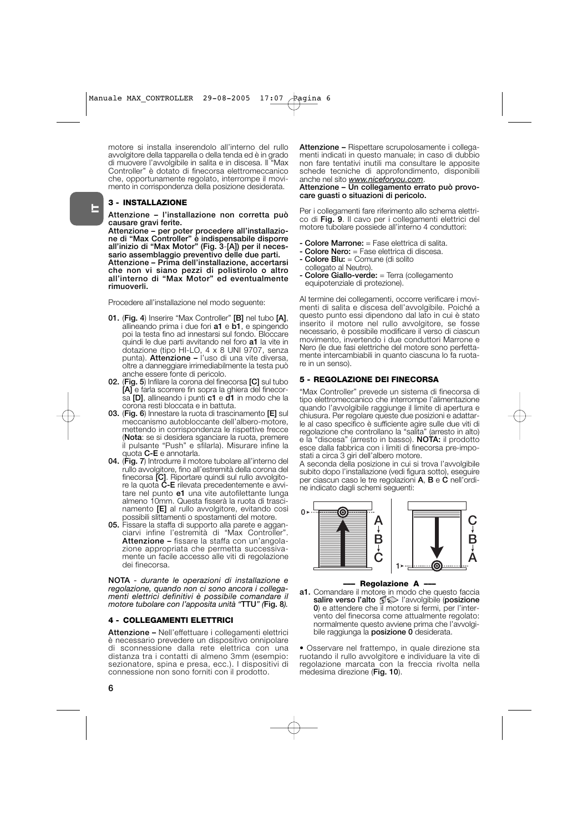motore si installa inserendolo all'interno del rullo avvolgitore della tapparella o della tenda ed è in grado di muovere l'avvolgibile in salita e in discesa. Il "Max Controller" è dotato di finecorsa elettromeccanico che, opportunamente regolato, interrompe il movimento in corrispondenza della posizione desiderata.

#### **3 - INSTALLAZIONE**

#### **Attenzione – l'installazione non corretta può causare gravi ferite.**

**Attenzione – per poter procedere all'installazione di "Max Controller" è indispensabile disporre all'inizio di "Max Motor" (Fig. 3**-**[A]) per il necessario assemblaggio preventivo delle due parti. Attenzione – Prima dell'installazione, accertarsi che non vi siano pezzi di polistirolo o altro all'interno di "Max Motor" ed eventualmente rimuoverli.**

Procedere all'installazione nel modo seguente:

- **01.** (**Fig. 4**) Inserire "Max Controller" **[B]** nel tubo **[A]**, allineando prima i due fori **a1** e **b1**, e spingendo poi la testa fino ad innestarsi sul fondo. Bloccare quindi le due parti avvitando nel foro **a1** la vite in dotazione (tipo HI-LO, 4 x 8 UNI 9707, senza punta). **Attenzione –** l'uso di una vite diversa, oltre a danneggiare irrimediabilmente la testa può anche essere fonte di pericolo.
- **02.** (**Fig. 5**) Infilare la corona del finecorsa **[C]** sul tubo **[A]** e farla scorrere fin sopra la ghiera del finecorsa **[D]**, allineando i punti **c1** e **d1** in modo che la corona resti bloccata e in battuta.
- **03.** (**Fig. 6**) Innestare la ruota di trascinamento **[E]** sul meccanismo autobloccante dell'albero-motore, mettendo in corrispondenza le rispettive frecce (**Nota**: se si desidera sganciare la ruota, premere il pulsante "Push" e sfilarla). Misurare infine la quota **C-E** e annotarla.
- **04.** (**Fig. 7**) Introdurre il motore tubolare all'interno del rullo avvolgitore, fino all'estremità della corona del finecorsa **[C]**. Riportare quindi sul rullo avvolgitore la quota **C-E** rilevata precedentemente e avvitare nel punto **e1** una vite autofilettante lunga almeno 10mm. Questa fisserà la ruota di trascinamento **[E]** al rullo avvolgitore, evitando così possibili slittamenti o spostamenti del motore.
- **05.** Fissare la staffa di supporto alla parete e agganciarvi infine l'estremità di "Max Controller". **Attenzione –** fissare la staffa con un'angolazione appropriata che permetta successivamente un facile accesso alle viti di regolazione dei finecorsa.

**NOTA** *- durante le operazioni di installazione e regolazione, quando non ci sono ancora i collegamenti elettrici definitivi è possibile comandare il motore tubolare con l'apposita unità "***TTU***" (***Fig. 8***).*

#### **4 - COLLEGAMENTI ELETTRICI**

**Attenzione –** Nell'effettuare i collegamenti elettrici è necessario prevedere un dispositivo onnipolare di sconnessione dalla rete elettrica con una distanza tra i contatti di almeno 3mm (esempio: sezionatore, spina e presa, ecc.). I dispositivi di connessione non sono forniti con il prodotto.

**Attenzione –** Rispettare scrupolosamente i collegamenti indicati in questo manuale; in caso di dubbio non fare tentativi inutili ma consultare le apposite schede tecniche di approfondimento, disponibili anche nel sito *www.niceforyou.com*.

#### **Attenzione – Un collegamento errato può provocare guasti o situazioni di pericolo.**

Per i collegamenti fare riferimento allo schema elettrico di **Fig. 9**. Il cavo per i collegamenti elettrici del motore tubolare possiede all'interno 4 conduttori:

- **Colore Marrone:** = Fase elettrica di salita.
- **Colore Nero:** = Fase elettrica di discesa.
- **Colore Blu:** = Comune (di solito collegato al Neutro).
- **Colore Giallo-verde:** = Terra (collegamento equipotenziale di protezione).

Al termine dei collegamenti, occorre verificare i movimenti di salita e discesa dell'avvolgibile. Poiché a questo punto essi dipendono dal lato in cui è stato inserito il motore nel rullo avvolgitore, se fosse necessario, è possibile modificare il verso di ciascun movimento, invertendo i due conduttori Marrone e Nero (le due fasi elettriche del motore sono perfettamente intercambiabili in quanto ciascuna lo fa ruotare in un senso).

#### **5 - REGOLAZIONE DEI FINECORSA**

"Max Controller" prevede un sistema di finecorsa di tipo elettromeccanico che interrompe l'alimentazione quando l'avvolgibile raggiunge il limite di apertura e chiusura. Per regolare queste due posizioni e adattarle al caso specifico è sufficiente agire sulle due viti di regolazione che controllano la "salita" (arresto in alto) e la "discesa" (arresto in basso). **NOTA:** il prodotto esce dalla fabbrica con i limiti di finecorsa pre-impostati a circa 3 giri dell'albero motore.

A seconda della posizione in cui si trova l'avvolgibile subito dopo l'installazione (vedi figura sotto), eseguire per ciascun caso le tre regolazioni **A**, **B** e **C** nell'ordine indicato dagli schemi seguenti:



#### **––– Regolazione A –––**

**a1.** Comandare il motore in modo che questo faccia **salire verso l'alto** l'avvolgibile (**posizione 0**) e attendere che il motore si fermi, per l'intervento del finecorsa come attualmente regolato: normalmente questo avviene prima che l'avvolgibile raggiunga la **posizione 0** desiderata.

• Osservare nel frattempo, in quale direzione sta ruotando il rullo avvolgitore e individuare la vite di regolazione marcata con la freccia rivolta nella medesima direzione (**Fig. 10**).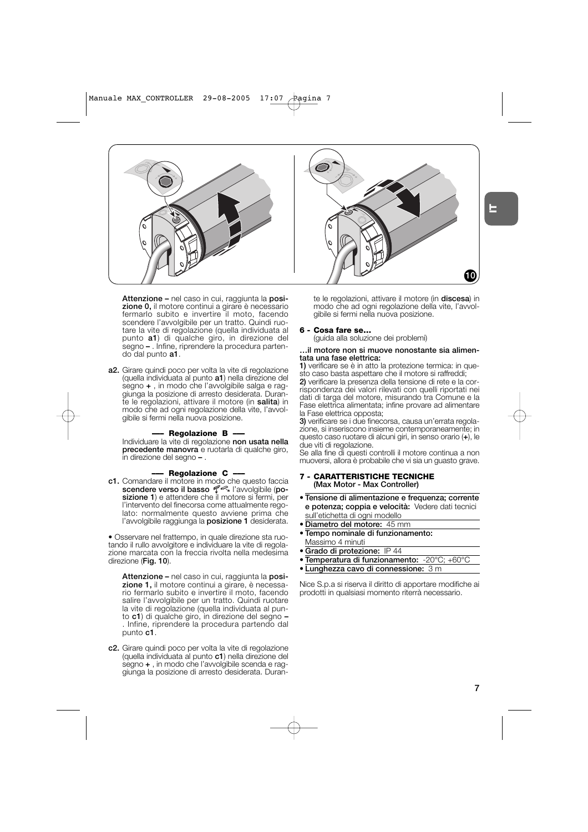



**Attenzione –** nel caso in cui, raggiunta la **posizione 0,** il motore continui a girare è necessario fermarlo subito e invertire il moto, facendo scendere l'avvolgibile per un tratto. Quindi ruotare la vite di regolazione (quella individuata al punto **a1**) di qualche giro, in direzione del segno **–** . Infine, riprendere la procedura partendo dal punto **a1**.

**a2.** Girare quindi poco per volta la vite di regolazione (quella individuata al punto **a1**) nella direzione del segno **+** , in modo che l'avvolgibile salga e raggiunga la posizione di arresto desiderata. Durante le regolazioni, attivare il motore (in **salita**) in modo che ad ogni regolazione della vite, l'avvolgibile si fermi nella nuova posizione.

#### **––– Regolazione B –––**

Individuare la vite di regolazione **non usata nella precedente manovra** e ruotarla di qualche giro, in direzione del segno **–** .

#### **––– Regolazione C –––**

**c1.** Comandare il motore in modo che questo faccia scendere verso il basso  $\lll$  l'avvolgibile (po**sizione 1**) e attendere che il motore si fermi, per l'intervento del finecorsa come attualmente regolato: normalmente questo avviene prima che l'avvolgibile raggiunga la **posizione 1** desiderata.

• Osservare nel frattempo, in quale direzione sta ruotando il rullo avvolgitore e individuare la vite di regolazione marcata con la freccia rivolta nella medesima direzione (**Fig. 10**).

**Attenzione –** nel caso in cui, raggiunta la **posizione 1,** il motore continui a girare, è necessario fermarlo subito e invertire il moto, facendo salire l'avvolgibile per un tratto. Quindi ruotare la vite di regolazione (quella individuata al punto **c1**) di qualche giro, in direzione del segno **–** . Infine, riprendere la procedura partendo dal punto **c1**.

**c2.** Girare quindi poco per volta la vite di regolazione (quella individuata al punto **c1**) nella direzione del segno **+** , in modo che l'avvolgibile scenda e raggiunga la posizione di arresto desiderata. Durante le regolazioni, attivare il motore (in **discesa**) in modo che ad ogni regolazione della vite, l'avvolgibile si fermi nella nuova posizione.

#### **6 - Cosa fare se…**

(guida alla soluzione dei problemi)

#### **…il motore non si muove nonostante sia alimentata una fase elettrica:**

**1)** verificare se è in atto la protezione termica: in questo caso basta aspettare che il motore si raffreddi;

**2)** verificare la presenza della tensione di rete e la corrispondenza dei valori rilevati con quelli riportati nei dati di targa del motore, misurando tra Comune e la Fase elettrica alimentata; infine provare ad alimentare la Fase elettrica opposta;

**3)** verificare se i due finecorsa, causa un'errata regolazione, si inseriscono insieme contemporaneamente; in questo caso ruotare di alcuni giri, in senso orario (**+**), le due viti di regolazione.

Se alla fine di questi controlli il motore continua a non muoversi, allora è probabile che vi sia un guasto grave.

#### **7 - CARATTERISTICHE TECNICHE (Max Motor - Max Controller)**

- **Tensione di alimentazione e frequenza; corrente e potenza; coppia e velocità:** Vedere dati tecnici sull'etichetta di ogni modello
- **Diametro del motore:** 45 mm
- **Tempo nominale di funzionamento:** Massimo 4 minuti
- **Grado di protezione:** IP 44
- **Temperatura di funzionamento:** -20°C; +60°C
- **Lunghezza cavo di connessione:** 3 m

Nice S.p.a si riserva il diritto di apportare modifiche ai prodotti in qualsiasi momento riterrà necessario.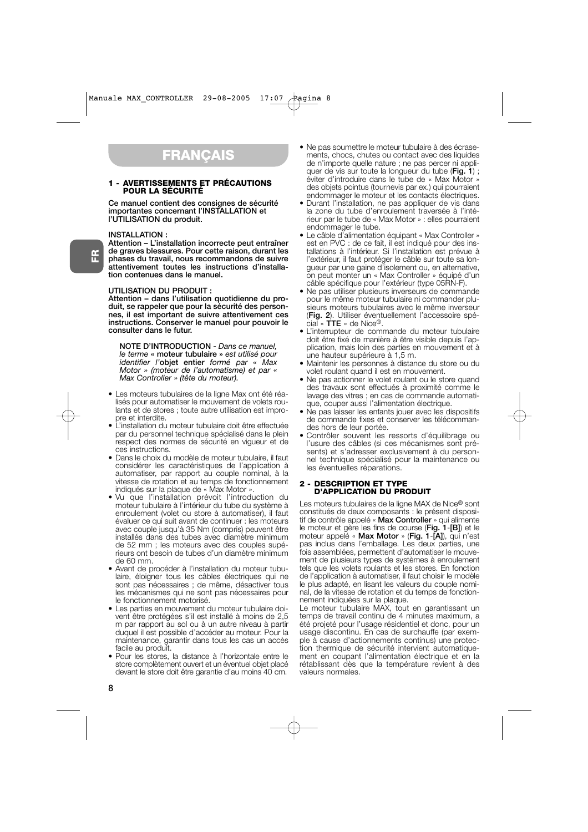#### **1 - AVERTISSEMENTS ET PRÉCAUTIONS POUR LA SÉCURITÉ**

**Ce manuel contient des consignes de sécurité importantes concernant l'INSTALLATION et l'UTILISATION du produit.**

#### **INSTALLATION :**

**Attention – L'installation incorrecte peut entraîner de graves blessures. Pour cette raison, durant les phases du travail, nous recommandons de suivre attentivement toutes les instructions d'installation contenues dans le manuel.**

#### **UTILISATION DU PRODUIT :**

**Attention – dans l'utilisation quotidienne du produit, se rappeler que pour la sécurité des personnes, il est important de suivre attentivement ces instructions. Conserver le manuel pour pouvoir le consulter dans le futur.**

**NOTE D'INTRODUCTION -** *Dans ce manuel, le terme* **« moteur tubulaire »** *est utilisé pour identifier l'***objet entier** *formé par « Max Motor » (moteur de l'automatisme) et par « Max Controller » (tête du moteur).*

- Les moteurs tubulaires de la ligne Max ont été réalisés pour automatiser le mouvement de volets roulants et de stores ; toute autre utilisation est impropre et interdite.
- L'installation du moteur tubulaire doit être effectuée par du personnel technique spécialisé dans le plein respect des normes de sécurité en vigueur et de ces instructions.
- Dans le choix du modèle de moteur tubulaire, il faut considérer les caractéristiques de l'application à automatiser, par rapport au couple nominal, à la vitesse de rotation et au temps de fonctionnement indiqués sur la plaque de « Max Motor ».
- Vu que l'installation prévoit l'introduction du moteur tubulaire à l'intérieur du tube du système à enroulement (volet ou store à automatiser), il faut évaluer ce qui suit avant de continuer : les moteurs avec couple jusqu'à 35 Nm (compris) peuvent être installés dans des tubes avec diamètre minimum de 52 mm ; les moteurs avec des couples supérieurs ont besoin de tubes d'un diamètre minimum de 60 mm.
- Avant de procéder à l'installation du moteur tubulaire, éloigner tous les câbles électriques qui ne sont pas nécessaires ; de même, désactiver tous les mécanismes qui ne sont pas nécessaires pour le fonctionnement motorisé.
- Les parties en mouvement du moteur tubulaire doivent être protégées s'il est installé à moins de 2,5 m par rapport au sol ou à un autre niveau à partir duquel il est possible d'accéder au moteur. Pour la maintenance, garantir dans tous les cas un accès facile au produit.
- Pour les stores, la distance à l'horizontale entre le store complètement ouvert et un éventuel objet placé devant le store doit être garantie d'au moins 40 cm.
- Ne pas soumettre le moteur tubulaire à des écrase-<br> **FRANÇAIS**<br>
en climpette quelle pature : pa pas parece des liquides de n'importe quelle nature ; ne pas percer ni appliquer de vis sur toute la longueur du tube (**Fig. 1**) ; éviter d'introduire dans le tube de « Max Motor » des objets pointus (tournevis par ex.) qui pourraient endommager le moteur et les contacts électriques.
	- Durant l'installation, ne pas appliquer de vis dans la zone du tube d'enroulement traversée à l'intérieur par le tube de « Max Motor » : elles pourraient endommager le tube.
	- Le câble d'alimentation équipant « Max Controller » est en PVC : de ce fait, il est indiqué pour des installations à l'intérieur. Si l'installation est prévue à l'extérieur, il faut protéger le câble sur toute sa longueur par une gaine d'isolement ou, en alternative, on peut monter un « Max Controller » équipé d'un câble spécifique pour l'extérieur (type 05RN-F).
	- Ne pas utiliser plusieurs inverseurs de commande pour le même moteur tubulaire ni commander plusieurs moteurs tubulaires avec le même inverseur (**Fig. 2**). Utiliser éventuellement l'accessoire spécial « **TTE** » de Nice®.
	- L'interrupteur de commande du moteur tubulaire doit être fixé de manière à être visible depuis l'application, mais loin des parties en mouvement et à une hauteur supérieure à 1,5 m.
	- Maintenir les personnes à distance du store ou du volet roulant quand il est en mouvement.
	- Ne pas actionner le volet roulant ou le store quand des travaux sont effectués à proximité comme le lavage des vitres ; en cas de commande automatique, couper aussi l'alimentation électrique.
	- Ne pas laisser les enfants jouer avec les dispositifs de commande fixes et conserver les télécommandes hors de leur portée.
	- Contrôler souvent les ressorts d'équilibrage ou l'usure des câbles (si ces mécanismes sont présents) et s'adresser exclusivement à du personnel technique spécialisé pour la maintenance ou les éventuelles réparations.

#### **2 - DESCRIPTION ET TYPE D'APPLICATION DU PRODUIT**

Les moteurs tubulaires de la ligne MAX de Nice® sont constitués de deux composants : le présent dispositif de contrôle appelé « **Max Controller** » qui alimente le moteur et gère les fins de course (**Fig. 1**-**[B]**) et le moteur appelé « **Max Motor** » (**Fig. 1**-**[A]**), qui n'est pas inclus dans l'emballage. Les deux parties, une fois assemblées, permettent d'automatiser le mouvement de plusieurs types de systèmes à enroulement tels que les volets roulants et les stores. En fonction de l'application à automatiser, il faut choisir le modèle le plus adapté, en lisant les valeurs du couple nominal, de la vitesse de rotation et du temps de fonctionnement indiquées sur la plaque.

Le moteur tubulaire MAX, tout en garantissant un temps de travail continu de 4 minutes maximum, a été projeté pour l'usage résidentiel et donc, pour un usage discontinu. En cas de surchauffe (par exemple à cause d'actionnements continus) une protection thermique de sécurité intervient automatiquement en coupant l'alimentation électrique et en la rétablissant dès que la température revient à des valeurs normales.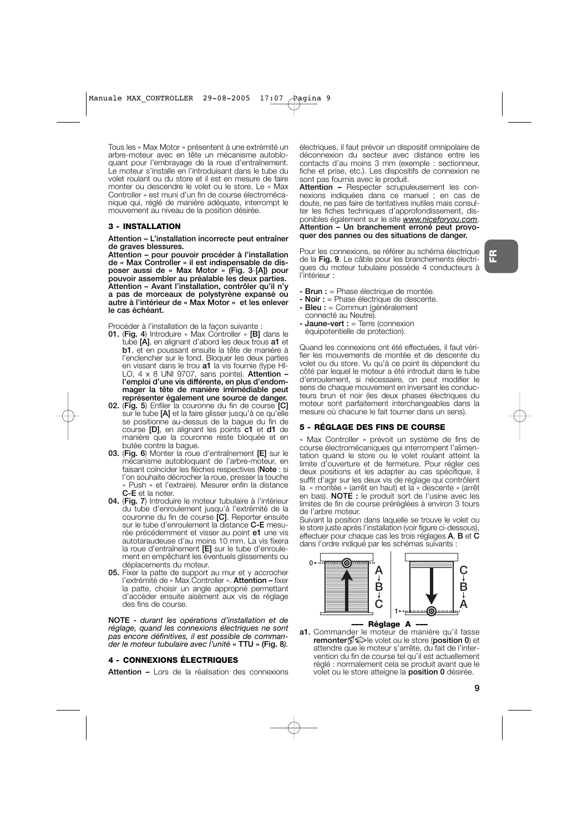**FR**

Tous les « Max Motor » présentent à une extrémité un arbre-moteur avec en tête un mécanisme autobloquant pour l'embrayage de la roue d'entraînement. Le moteur s'installe en l'introduisant dans le tube du volet roulant ou du store et il est en mesure de faire monter ou descendre le volet ou le store. Le « Max Controller » est muni d'un fin de course électromécanique qui, réglé de manière adéquate, interrompt le mouvement au niveau de la position désirée.

#### **3 - INSTALLATION**

**Attention – L'installation incorrecte peut entraîner de graves blessures.**

**Attention – pour pouvoir procéder à l'installation de « Max Controller » il est indispensable de disposer aussi de « Max Motor » (Fig. 3**-**[A]) pour pouvoir assembler au préalable les deux parties. Attention – Avant l'installation, contrôler qu'il n'y a pas de morceaux de polystyrène expansé ou autre à l'intérieur de « Max Motor » et les enlever le cas échéant.**

Procéder à l'installation de la façon suivante :

- **01.** (**Fig. 4**) Introduire « Max Controller » **[B]** dans le tube **[A]**, en alignant d'abord les deux trous **a1** et **b1**, et en poussant ensuite la tête de manière à l'enclencher sur le fond. Bloquer les deux parties en vissant dans le trou **a1** la vis fournie (type HI-LO, 4 x 8 UNI 9707, sans pointe). **Attention – l'emploi d'une vis différente, en plus d'endommager la tête de manière irrémédiable peut représenter également une source de danger.**
- **02.** (**Fig. 5**) Enfiler la couronne du fin de course **[C]** sur le tube **[A]** et la faire glisser jusqu'à ce qu'elle se positionne au-dessus de la bague du fin de course **[D]**, en alignant les points **c1** et **d1** de manière que la couronne reste bloquée et en butée contre la bague.
- **03.** (**Fig. 6**) Monter la roue d'entraînement **[E]** sur le mécanisme autobloquant de l'arbre-moteur, en faisant coïncider les flèches respectives (**Note** : si l'on souhaite décrocher la roue, presser la touche « Push » et l'extraire). Mesurer enfin la distance **C-E** et la noter.
- **04.** (**Fig. 7**) Introduire le moteur tubulaire à l'intérieur du tube d'enroulement jusqu'à l'extrémité de la couronne du fin de course **[C]**. Reporter ensuite sur le tube d'enroulement la distance **C-E** mesurée précédemment et visser au point **e1** une vis autotaraudeuse d'au moins 10 mm. La vis fixera la roue d'entraînement **[E]** sur le tube d'enroulement en empêchant les éventuels glissements ou déplacements du moteur.
- **05.** Fixer la patte de support au mur et y accrocher l'extrémité de « Max Controller ». **Attention –** fixer la patte, choisir un angle approprié permettant d'accéder ensuite aisément aux vis de réglage des fins de course.

**NOTE -** *durant les opérations d'installation et de réglage, quand les connexions électriques ne sont pas encore définitives, il est possible de commander le moteur tubulaire avec l'unité* **« TTU » (Fig. 8***).*

#### **4 - CONNEXIONS ÉLECTRIQUES**

**Attention –** Lors de la réalisation des connexions

électriques, il faut prévoir un dispositif omnipolaire de déconnexion du secteur avec distance entre les contacts d'au moins 3 mm (exemple : sectionneur, fiche et prise, etc.). Les dispositifs de connexion ne sont pas fournis avec le produit.

**Attention –** Respecter scrupuleusement les connexions indiquées dans ce manuel ; en cas de doute, ne pas faire de tentatives inutiles mais consulter les fiches techniques d'approfondissement, disponibles également sur le site *www.niceforyou.com*. **Attention – Un branchement erroné peut provoquer des pannes ou des situations de danger.**

Pour les connexions, se référer au schéma électrique de la **Fig. 9**. Le câble pour les branchements électriques du moteur tubulaire possède 4 conducteurs à l'intérieur :

- **Brun :** = Phase électrique de montée.
- **Noir :** = Phase électrique de descente.
- **Bleu :** = Commun (généralement connecté au Neutre).
- **Jaune-vert :** = Terre (connexion équipotentielle de protection).

Quand les connexions ont été effectuées, il faut vérifier les mouvements de montée et de descente du volet ou du store. Vu qu'à ce point ils dépendent du côté par lequel le moteur a été introduit dans le tube d'enroulement, si nécessaire, on peut modifier le sens de chaque mouvement en inversant les conducteurs brun et noir (les deux phases électriques du moteur sont parfaitement interchangeables dans la mesure où chacune le fait tourner dans un sens).

#### **5 - RÉGLAGE DES FINS DE COURSE**

« Max Controller » prévoit un système de fins de course électromécaniques qui interrompent l'alimentation quand le store ou le volet roulant atteint la limite d'ouverture et de fermeture. Pour régler ces deux positions et les adapter au cas spécifique, il suffit d'agir sur les deux vis de réglage qui contrôlent la « montée » (arrêt en haut) et la « descente » (arrêt en bas). **NOTE :** le produit sort de l'usine avec les limites de fin de course préréglées à environ 3 tours de l'arbre moteur.

Suivant la position dans laquelle se trouve le volet ou le store juste après l'installation (voir figure ci-dessous), effectuer pour chaque cas les trois réglages **A**, **B** et **C** dans l'ordre indiqué par les schémas suivants :



**––– Réglage A –––**

**a1.** Commander le moteur de manière qu'il fasse **remonter** le volet ou le store (**position 0**) et attendre que le moteur s'arrête, du fait de l'intervention du fin de course tel qu'il est actuellement réglé : normalement cela se produit avant que le volet ou le store atteigne la **position 0** désirée.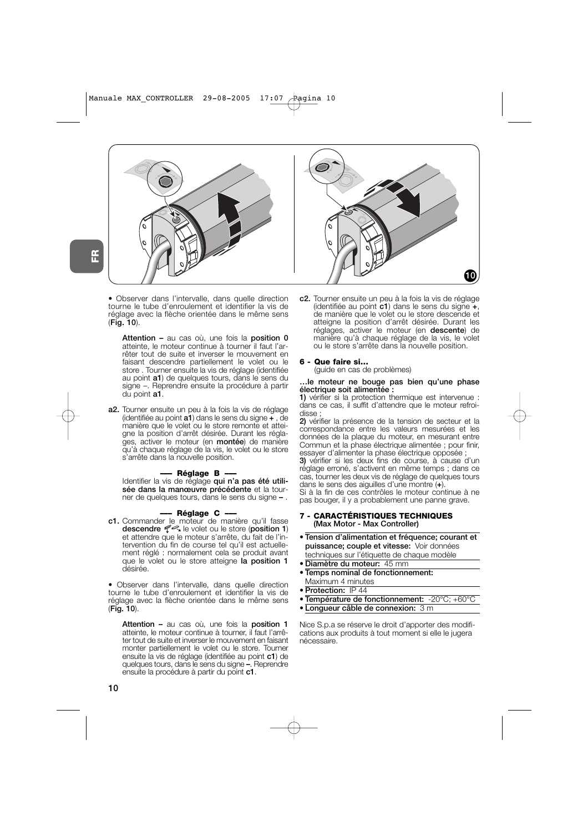

- **10**
- Observer dans l'intervalle, dans quelle direction tourne le tube d'enroulement et identifier la vis de réglage avec la flèche orientée dans le même sens (**Fig. 10**).

**Attention –** au cas où, une fois la **position 0** atteinte, le moteur continue à tourner il faut l'arrêter tout de suite et inverser le mouvement en faisant descendre partiellement le volet ou le store . Tourner ensuite la vis de réglage (identifiée au point **a1**) de quelques tours, dans le sens du signe –. Reprendre ensuite la procédure à partir du point **a1**.

**a2.** Tourner ensuite un peu à la fois la vis de réglage (identifiée au point **a1**) dans le sens du signe **+** , de manière que le volet ou le store remonte et atteigne la position d'arrêt désirée. Durant les réglages, activer le moteur (en **montée**) de manière qu'à chaque réglage de la vis, le volet ou le store s'arrête dans la nouvelle position.

#### **––– Réglage B –––**

Identifier la vis de réglage **qui n'a pas été utilisée dans la manœuvre précédente** et la tourner de quelques tours, dans le sens du signe **–** .

#### **––– Réglage C –––**

**c1.** Commander le moteur de manière qu'il fasse descendre  $\ll$  le volet ou le store (**position 1**) et attendre que le moteur s'arrête, du fait de l'intervention du fin de course tel qu'il est actuellement réglé : normalement cela se produit avant que le volet ou le store atteigne **la position 1** désirée.

• Observer dans l'intervalle, dans quelle direction tourne le tube d'enroulement et identifier la vis de réglage avec la flèche orientée dans le même sens (**Fig. 10**).

**Attention –** au cas où, une fois la **position 1** atteinte, le moteur continue à tourner, il faut l'arrêter tout de suite et inverser le mouvement en faisant monter partiellement le volet ou le store. Tourner ensuite la vis de réglage (identifiée au point **c1**) de quelques tours, dans le sens du signe **–**. Reprendre ensuite la procédure à partir du point **c1**.

**c2.** Tourner ensuite un peu à la fois la vis de réglage (identifiée au point **c1**) dans le sens du signe **+**, de manière que le volet ou le store descende et atteigne la position d'arrêt désirée. Durant les réglages, activer le moteur (en **descente**) de manière qu'à chaque réglage de la vis, le volet ou le store s'arrête dans la nouvelle position.

#### **6 - Que faire si…**

(guide en cas de problèmes)

#### **…le moteur ne bouge pas bien qu'une phase électrique soit alimentée :**

**1)** vérifier si la protection thermique est intervenue : dans ce cas, il suffit d'attendre que le moteur refroidisse ;

**2)** vérifier la présence de la tension de secteur et la correspondance entre les valeurs mesurées et les données de la plaque du moteur, en mesurant entre Commun et la phase électrique alimentée ; pour finir, essayer d'alimenter la phase électrique opposée ;

**3)** vérifier si les deux fins de course, à cause d'un réglage erroné, s'activent en même temps ; dans ce cas, tourner les deux vis de réglage de quelques tours dans le sens des aiguilles d'une montre (**+**).

Si à la fin de ces contrôles le moteur continue à ne pas bouger, il y a probablement une panne grave.

#### **7 - CARACTÉRISTIQUES TECHNIQUES (Max Motor - Max Controller)**

- **Tension d'alimentation et fréquence; courant et puissance; couple et vitesse:** Voir données techniques sur l'étiquette de chaque modèle
- **Diamètre du moteur:** 45 mm
- **Temps nominal de fonctionnement:** Maximum 4 minutes
- **Protection:** IP 44
- **Température de fonctionnement:** -20°C; +60°C
- **Longueur câble de connexion:** 3 m

Nice S.p.a se réserve le droit d'apporter des modifications aux produits à tout moment si elle le jugera nécessaire.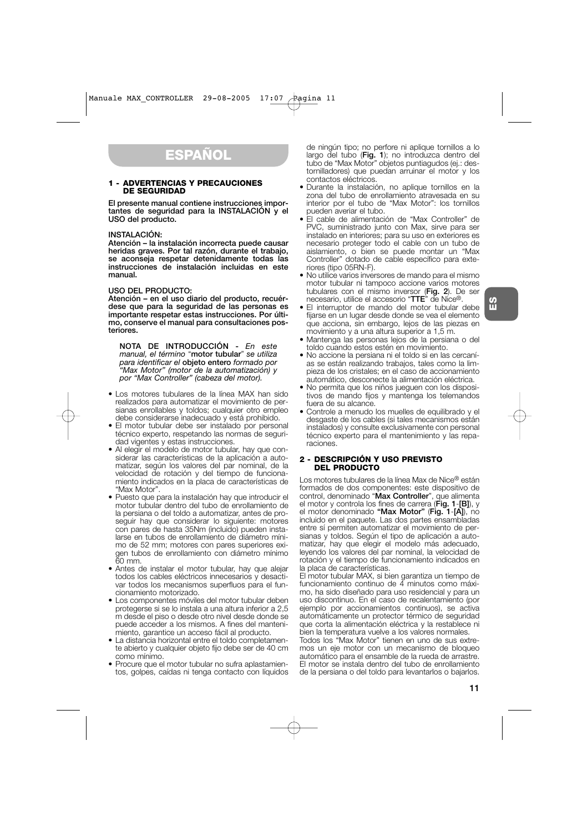#### **1 - ADVERTENCIAS Y PRECAUCIONES DE SEGURIDAD**

**El presente manual contiene instrucciones importantes de seguridad para la INSTALACIÓN y el USO del producto.**

#### **INSTALACIÓN:**

**Atención – la instalación incorrecta puede causar heridas graves. Por tal razón, durante el trabajo, se aconseja respetar detenidamente todas las instrucciones de instalación incluidas en este manual.**

#### **USO DEL PRODUCTO:**

**Atención – en el uso diario del producto, recuérdese que para la seguridad de las personas es importante respetar estas instrucciones. Por último, conserve el manual para consultaciones posteriores.**

**NOTA DE INTRODUCCIÓN -** *En este manual, el término* "**motor tubular**" *se utiliza para identificar el* **objeto entero** *formado por "Max Motor" (motor de la automatización) y por "Max Controller" (cabeza del motor).*

- Los motores tubulares de la línea MAX han sido realizados para automatizar el movimiento de persianas enrollables y toldos; cualquier otro empleo debe considerarse inadecuado y está prohibido.
- El motor tubular debe ser instalado por personal técnico experto, respetando las normas de seguridad vigentes y estas instrucciones.
- Al elegir el modelo de motor tubular, hay que considerar las características de la aplicación a automatizar, según los valores del par nominal, de la velocidad de rotación y del tiempo de funcionamiento indicados en la placa de características de "Max Motor".
- Puesto que para la instalación hay que introducir el motor tubular dentro del tubo de enrollamiento de la persiana o del toldo a automatizar, antes de proseguir hay que considerar lo siguiente: motores con pares de hasta 35Nm (incluido) pueden instalarse en tubos de enrollamiento de diámetro mínimo de 52 mm; motores con pares superiores exigen tubos de enrollamiento con diámetro mínimo 60 mm.
- Antes de instalar el motor tubular, hay que alejar todos los cables eléctricos innecesarios y desactivar todos los mecanismos superfluos para el funcionamiento motorizado.
- Los componentes móviles del motor tubular deben protegerse si se lo instala a una altura inferior a 2,5 m desde el piso o desde otro nivel desde donde se puede acceder a los mismos. A fines del mantenimiento, garantice un acceso fácil al producto.
- La distancia horizontal entre el toldo completamente abierto y cualquier objeto fijo debe ser de 40 cm como mínimo.
- Procure que el motor tubular no sufra aplastamientos, golpes, caídas ni tenga contacto con líquidos

de ningún tipo; no perfore ni aplique tornillos a lo<br>
largo del tubo (**Fig. 1**); no introduzca dentro del tubo (**Fig. 1**); no introduzca dentro de<br>
tubo de "Max Moto" chipictos puntiaquales (ai des tubo de "Max Motor" objetos puntiagudos (ej.: destornilladores) que puedan arruinar el motor y los contactos eléctricos.

- Durante la instalación, no aplique tornillos en la zona del tubo de enrollamiento atravesada en su interior por el tubo de "Max Motor": los tornillos pueden averiar el tubo.
- El cable de alimentación de "Max Controller" de PVC, suministrado junto con Max, sirve para ser instalado en interiores; para su uso en exteriores es necesario proteger todo el cable con un tubo de aislamiento, o bien se puede montar un "Max Controller" dotado de cable específico para exteriores (tipo 05RN-F).
- No utilice varios inversores de mando para el mismo motor tubular ni tampoco accione varios motores tubulares con el mismo inversor (**Fig. 2**). De ser necesario, utilice el accesorio "**TTE**" de Nice®.
- El interruptor de mando del motor tubular debe fijarse en un lugar desde donde se vea el elemento que acciona, sin embargo, lejos de las piezas en movimiento y a una altura superior a 1,5 m.
- Mantenga las personas lejos de la persiana o del toldo cuando estos estén en movimiento.
- No accione la persiana ni el toldo si en las cercanías se están realizando trabajos, tales como la limpieza de los cristales; en el caso de accionamiento automático, desconecte la alimentación eléctrica.
- No permita que los niños jueguen con los dispositivos de mando fijos y mantenga los telemandos fuera de su alcance.
- Controle a menudo los muelles de equilibrado y el desgaste de los cables (si tales mecanismos están instalados) y consulte exclusivamente con personal técnico experto para el mantenimiento y las reparaciones.

#### **2 - DESCRIPCIÓN Y USO PREVISTO DEL PRODUCTO**

Los motores tubulares de la línea Max de Nice® están formados de dos componentes: este dispositivo de control, denominado "**Max Controller**", que alimenta el motor y controla los fines de carrera (**Fig. 1**-**[B]**), y el motor denominado **"Max Motor"** (**Fig. 1**-**[A]**), no incluido en el paquete. Las dos partes ensambladas entre sí permiten automatizar el movimiento de persianas y toldos. Según el tipo de aplicación a automatizar, hay que elegir el modelo más adecuado, leyendo los valores del par nominal, la velocidad de rotación y el tiempo de funcionamiento indicados en la placa de características.

El motor tubular MAX, si bien garantiza un tiempo de funcionamiento continuo de 4 minutos como máximo, ha sido diseñado para uso residencial y para un uso discontinuo. En el caso de recalentamiento (por ejemplo por accionamientos continuos), se activa automáticamente un protector térmico de seguridad que corta la alimentación eléctrica y la restablece ni bien la temperatura vuelve a los valores normales.

Todos los "Max Motor" tienen en uno de sus extremos un eje motor con un mecanismo de bloqueo automático para el ensamble de la rueda de arrastre. El motor se instala dentro del tubo de enrollamiento de la persiana o del toldo para levantarlos o bajarlos.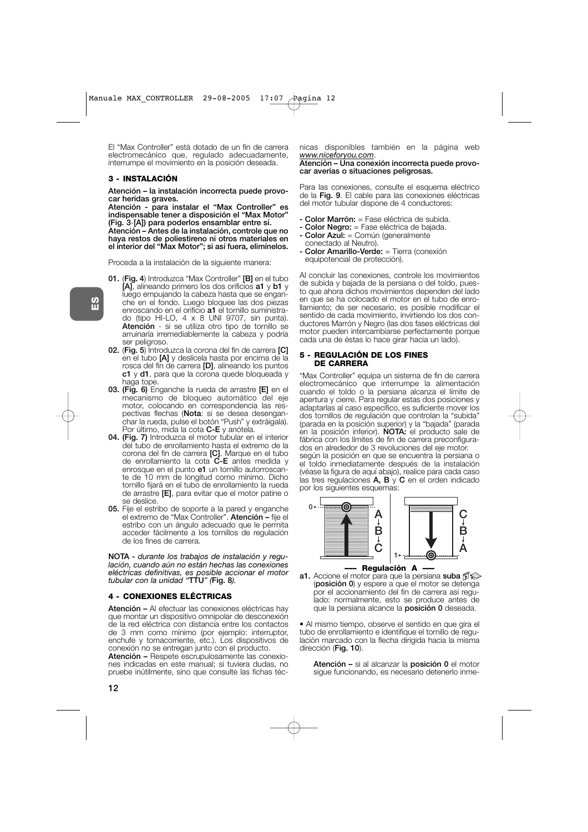El "Max Controller" está dotado de un fin de carrera electromecánico que, regulado adecuadamente, interrumpe el movimiento en la posición deseada.

#### **3 - INSTALACIÓN**

**Atención – la instalación incorrecta puede provocar heridas graves.**

**Atención - para instalar el "Max Controller" es indispensable tener a disposición el "Max Motor" (Fig. 3**-**[A]) para poderlos ensamblar entre sí.**

**Atención – Antes de la instalación, controle que no haya restos de poliestireno ni otros materiales en el interior del "Max Motor"; si así fuera, elimínelos.**

Proceda a la instalación de la siguiente manera:

- **01.** (**Fig. 4**) Introduzca "Max Controller" **[B]** en el tubo **[A]**, alineando primero los dos orificios **a1** y **b1** y luego empujando la cabeza hasta que se enganche en el fondo. Luego bloquee las dos piezas enroscando en el orificio **a1** el tornillo suministrado (tipo HI-LO, 4 x 8 UNI 9707, sin punta). **Atención** - si se utiliza otro tipo de tornillo se arruinaría irremediablemente la cabeza y podría ser peligroso.
- **02.** (**Fig. 5**) Introduzca la corona del fin de carrera **[C]** en el tubo **[A]** y deslícela hasta por encima de la rosca del fin de carrera **[D]**, alineando los puntos **c1** y **d1**, para que la corona quede bloqueada y haga tope.
- **03. (Fig. 6)** Enganche la rueda de arrastre **[E]** en el mecanismo de bloqueo automático del eje motor, colocando en correspondencia las respectivas flechas (**Nota**: si se desea desenganchar la rueda, pulse el botón "Push" y extráigala). Por último, mida la cota **C-E** y anótela.
- **04. (Fig. 7)** Introduzca el motor tubular en el interior del tubo de enrollamiento hasta el extremo de la corona del fin de carrera **[C]**. Marque en el tubo de enrollamiento la cota **C-E** antes medida y enrosque en el punto **e1** un tornillo autorroscante de 10 mm de longitud como mínimo. Dicho tornillo fijará en el tubo de enrollamiento la rueda de arrastre **[E]**, para evitar que el motor patine o se deslice.
- **05.** Fije el estribo de soporte a la pared y enganche el extremo de "Max Controller". **Atención –** fije el estribo con un ángulo adecuado que le permita acceder fácilmente a los tornillos de regulación de los fines de carrera.

**NOTA -** *durante los trabajos de instalación y regulación, cuando aún no están hechas las conexiones eléctricas definitivas, es posible accionar el motor tubular con la unidad "***TTU***" (***Fig. 8***).*

#### **4 - CONEXIONES ELÉCTRICAS**

**Atención –** Al efectuar las conexiones eléctricas hay que montar un dispositivo omnipolar de desconexión de la red eléctrica con distancia entre los contactos de 3 mm como mínimo (por ejemplo: interruptor, enchufe y tomacorriente, etc.). Los dispositivos de conexión no se entregan junto con el producto.

**Atención –** Respete escrupulosamente las conexiones indicadas en este manual; si tuviera dudas, no pruebe inútilmente, sino que consulte las fichas técnicas disponibles también en la página web *www.niceforyou.com*.

#### **Atención – Una conexión incorrecta puede provocar averías o situaciones peligrosas.**

Para las conexiones, consulte el esquema eléctrico de la **Fig. 9**. El cable para las conexiones eléctricas del motor tubular dispone de 4 conductores:

- **Color Marrón:** = Fase eléctrica de subida.
- **Color Negro:** = Fase eléctrica de bajada.
- **Color Azul:** = Común (generalmente conectado al Neutro).
- **Color Amarillo-Verde:** = Tierra (conexión equipotencial de protección).

Al concluir las conexiones, controle los movimientos de subida y bajada de la persiana o del toldo, puesto que ahora dichos movimientos dependen del lado en que se ha colocado el motor en el tubo de enrollamiento; de ser necesario, es posible modificar el sentido de cada movimiento, invirtiendo los dos conductores Marrón y Negro (las dos fases eléctricas del motor pueden intercambiarse perfectamente porque cada una de éstas lo hace girar hacia un lado).

#### **5 - REGULACIÓN DE LOS FINES DE CARRERA**

"Max Controller" equipa un sistema de fin de carrera electromecánico que interrumpe la alimentación cuando el toldo o la persiana alcanza el límite de apertura y cierre. Para regular estas dos posiciones y adaptarlas al caso específico, es suficiente mover los dos tornillos de regulación que controlan la "subida" (parada en la posición superior) y la "bajada" (parada en la posición inferior). **NOTA:** el producto sale de fábrica con los límites de fin de carrera preconfigurados en alrededor de 3 revoluciones del eje motor.

según la posición en que se encuentra la persiana o el toldo inmediatamente después de la instalación (véase la figura de aquí abajo), realice para cada caso las tres regulaciones **A, B** y **C** en el orden indicado por los siguientes esquemas:



**––– Regulación A –––**

**a1.** Accione el motor para que la persiana **suba** (**posición 0**) y espere a que el motor se detenga por el accionamiento del fin de carrera así regulado: normalmente, esto se produce antes de que la persiana alcance la **posición 0** deseada.

• Al mismo tiempo, observe el sentido en que gira el tubo de enrollamiento e identifique el tornillo de regulación marcado con la flecha dirigida hacia la misma dirección (**Fig. 10**).

**Atención –** si al alcanzar la **posición 0** el motor sigue funcionando, es necesario detenerlo inme-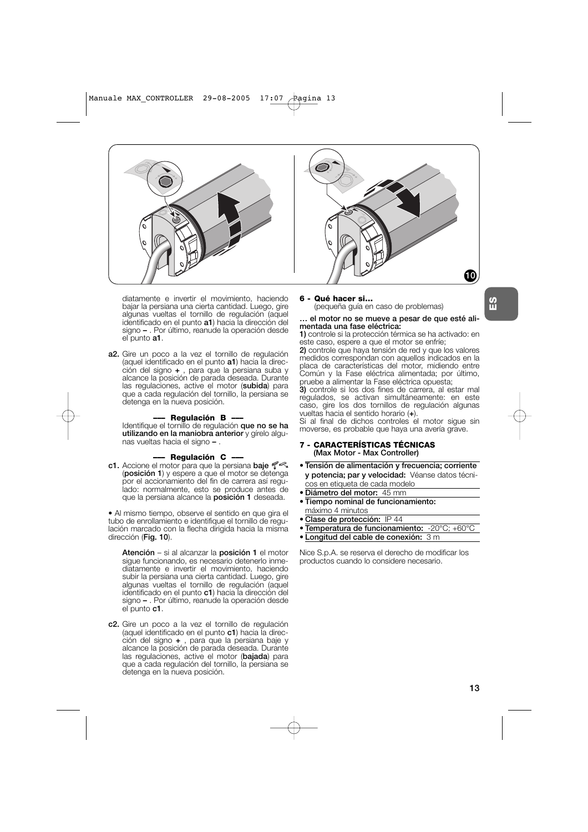

diatamente e invertir el movimiento, haciendo bajar la persiana una cierta cantidad. Luego, gire algunas vueltas el tornillo de regulación (aquel identificado en el punto **a1**) hacia la dirección del signo **–** . Por último, reanude la operación desde el punto **a1**.

**a2.** Gire un poco a la vez el tornillo de regulación (aquel identificado en el punto **a1**) hacia la dirección del signo **+** , para que la persiana suba y alcance la posición de parada deseada. Durante las regulaciones, active el motor (**subida**) para que a cada regulación del tornillo, la persiana se detenga en la nueva posición.

#### **––– Regulación B –––**

Identifique el tornillo de regulación **que no se ha utilizando en la maniobra anterior** y gírelo algunas vueltas hacia el signo **–** .

#### **––– Regulación C –––**

**c1.** Accione el motor para que la persiana **baje** (**posición 1**) y espere a que el motor se detenga por el accionamiento del fin de carrera así regulado: normalmente, esto se produce antes de que la persiana alcance la **posición 1** deseada.

• Al mismo tiempo, observe el sentido en que gira el tubo de enrollamiento e identifique el tornillo de regulación marcado con la flecha dirigida hacia la misma dirección (**Fig. 10**).

**Atención** – si al alcanzar la **posición 1** el motor sigue funcionando, es necesario detenerlo inmediatamente e invertir el movimiento, haciendo subir la persiana una cierta cantidad. Luego, gire algunas vueltas el tornillo de regulación (aquel identificado en el punto **c1**) hacia la dirección del signo **–** . Por último, reanude la operación desde el punto **c1**.

**c2.** Gire un poco a la vez el tornillo de regulación (aquel identificado en el punto **c1**) hacia la dirección del signo **+** , para que la persiana baje y alcance la posición de parada deseada. Durante las regulaciones, active el motor (**bajada**) para que a cada regulación del tornillo, la persiana se detenga en la nueva posición.

#### **6 - Qué hacer si…**

(pequeña guía en caso de problemas)

#### **… el motor no se mueve a pesar de que esté alimentada una fase eléctrica:**

**1)** controle si la protección térmica se ha activado: en este caso, espere a que el motor se enfríe;

**2)** controle que haya tensión de red y que los valores medidos correspondan con aquellos indicados en la placa de características del motor, midiendo entre Común y la Fase eléctrica alimentada; por último, pruebe a alimentar la Fase eléctrica opuesta;

**3)** controle si los dos fines de carrera, al estar mal regulados, se activan simultáneamente: en este caso, gire los dos tornillos de regulación algunas vueltas hacia el sentido horario (**+**).

Si al final de dichos controles el motor sigue sin moverse, es probable que haya una avería grave.

#### **7 - CARACTERÍSTICAS TÉCNICAS (Max Motor - Max Controller)**

- **Tensión de alimentación y frecuencia; corriente y potencia; par y velocidad:** Véanse datos técnicos en etiqueta de cada modelo
- **Diámetro del motor:** 45 mm
- **Tiempo nominal de funcionamiento:** máximo 4 minutos
- **Clase de protección:** IP 44
- **Temperatura de funcionamiento:** -20°C; +60°C
- **Longitud del cable de conexión:** 3 m

Nice S.p.A. se reserva el derecho de modificar los productos cuando lo considere necesario.

**10**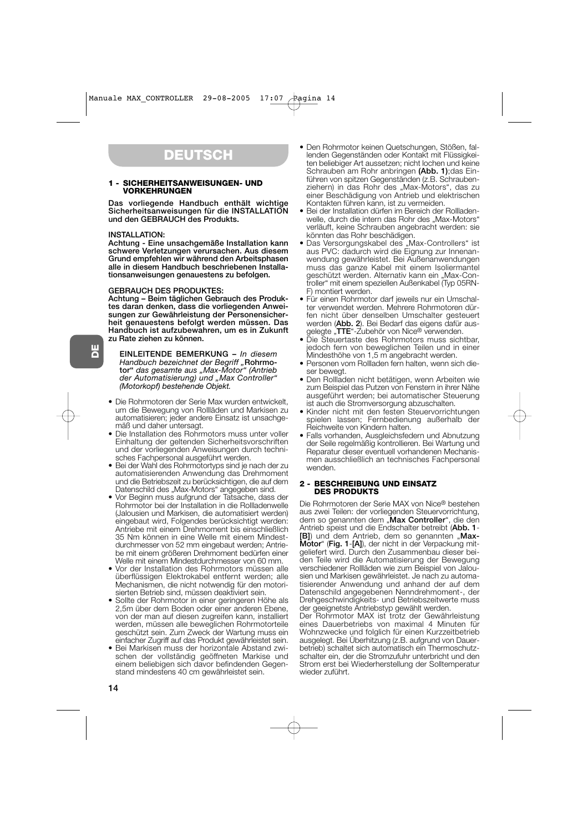#### **1 - SICHERHEITSANWEISUNGEN- UND VORKEHRUNGEN**

**Das vorliegende Handbuch enthält wichtige Sicherheitsanweisungen für die INSTALLATION und den GEBRAUCH des Produkts.**

#### **INSTALLATION:**

**Achtung - Eine unsachgemäße Installation kann schwere Verletzungen verursachen. Aus diesem Grund empfehlen wir während den Arbeitsphasen alle in diesem Handbuch beschriebenen Installationsanweisungen genauestens zu befolgen.**

#### **GEBRAUCH DES PRODUKTES:**

**Achtung – Beim täglichen Gebrauch des Produktes daran denken, dass die vorliegenden Anweisungen zur Gewährleistung der Personensicherheit genauestens befolgt werden müssen. Das Handbuch ist aufzubewahren, um es in Zukunft zu Rate ziehen zu können.**

**EINLEITENDE BEMERKUNG –** *In diesem Handbuch bezeichnet der Begriff "***Rohrmotor"** *das gesamte aus "Max-Motor" (Antrieb* der Automatisierung) und "Max Controller" *(Motorkopf) bestehende Objekt.*

- Die Rohrmotoren der Serie Max wurden entwickelt, um die Bewegung von Rollläden und Markisen zu automatisieren; jeder andere Einsatz ist unsachgemäß und daher untersagt.
- Die Installation des Rohrmotors muss unter voller Einhaltung der geltenden Sicherheitsvorschriften und der vorliegenden Anweisungen durch technisches Fachpersonal ausgeführt werden.
- Bei der Wahl des Rohrmotortyps sind je nach der zu automatisierenden Anwendung das Drehmoment und die Betriebszeit zu berücksichtigen, die auf dem Datenschild des "Max-Motors" angegeben sind.
- Vor Beginn muss aufgrund der Tatsache, dass der Rohrmotor bei der Installation in die Rollladenwelle (Jalousien und Markisen, die automatisiert werden) eingebaut wird, Folgendes berücksichtigt werden: Antriebe mit einem Drehmoment bis einschließlich 35 Nm können in eine Welle mit einem Mindestdurchmesser von 52 mm eingebaut werden; Antriebe mit einem größeren Drehmoment bedürfen einer Welle mit einem Mindestdurchmesser von 60 mm.
- Vor der Installation des Rohrmotors müssen alle überflüssigen Elektrokabel entfernt werden; alle Mechanismen, die nicht notwendig für den motorisierten Betrieb sind, müssen deaktiviert sein.
- Sollte der Rohrmotor in einer geringeren Höhe als 2,5m über dem Boden oder einer anderen Ebene, von der man auf diesen zugreifen kann, installiert werden, müssen alle beweglichen Rohrmotorteile geschützt sein. Zum Zweck der Wartung muss ein einfacher Zugriff auf das Produkt gewährleistet sein.
- Bei Markisen muss der horizontale Abstand zwischen der vollständig geöffneten Markise und einem beliebigen sich davor befindenden Gegenstand mindestens 40 cm gewährleistet sein.
- **DEUTSCH** Den Rohrmotor keinen Quetschungen, Stößen, fal-<br>
lenden Gegenständen oder Kontakt mit Flüssigkeiten beliebiger Art aussetzen; nicht lochen und keine Schrauben am Rohr anbringen **(Abb. 1)**;das Einführen von spitzen Gegenständen (z.B. Schraubenziehern) in das Rohr des "Max-Motors", das zu einer Beschädigung von Antrieb und elektrischen Kontakten führen kann, ist zu vermeiden.
	- Bei der Installation dürfen im Bereich der Rollladenwelle, durch die intern das Rohr des "Max-Motors" verläuft, keine Schrauben angebracht werden: sie könnten das Rohr beschädigen.
	- Das Versorgungskabel des "Max-Controllers" ist aus PVC: dadurch wird die Eignung zur Innenanwendung gewährleistet. Bei Außenanwendungen muss das ganze Kabel mit einem Isoliermantel geschützt werden. Alternativ kann ein "Max-Controller" mit einem speziellen Außenkabel (Typ 05RN-F) montiert werden.
	- Für einen Rohrmotor darf jeweils nur ein Umschalter verwendet werden. Mehrere Rohrmotoren dürfen nicht über denselben Umschalter gesteuert werden (**Abb. 2**). Bei Bedarf das eigens dafür ausgelegte "**TTE**"-Zubehör von Nice® verwenden.
	- Die Steuertaste des Rohrmotors muss sichtbar, jedoch fern von beweglichen Teilen und in einer Mindesthöhe von 1,5 m angebracht werden.
	- Personen vom Rollladen fern halten, wenn sich dieser bewegt.
	- Den Rollladen nicht betätigen, wenn Arbeiten wie zum Beispiel das Putzen von Fenstern in ihrer Nähe ausgeführt werden; bei automatischer Steuerung ist auch die Stromversorgung abzuschalten.
	- Kinder nicht mit den festen Steuervorrichtungen spielen lassen; Fernbedienung außerhalb der Reichweite von Kindern halten.
	- Falls vorhanden, Ausgleichsfedern und Abnutzung der Seile regelmäßig kontrollieren. Bei Wartung und Reparatur dieser eventuell vorhandenen Mechanismen ausschließlich an technisches Fachpersonal wenden.

#### **2 - BESCHREIBUNG UND EINSATZ DES PRODUKTS**

Die Rohrmotoren der Serie MAX von Nice® bestehen aus zwei Teilen: der vorliegenden Steuervorrichtung, dem so genannten dem "**Max Controller**", die den Antrieb speist und die Endschalter betreibt (**Abb. 1**- **[B]**) und dem Antrieb, dem so genannten "Max-**Motor**" (**Fig. 1**-**[A]**), der nicht in der Verpackung mitgeliefert wird. Durch den Zusammenbau dieser beiden Teile wird die Automatisierung der Bewegung verschiedener Rollläden wie zum Beispiel von Jalousien und Markisen gewährleistet. Je nach zu automatisierender Anwendung und anhand der auf dem Datenschild angegebenen Nenndrehmoment-, der Drehgeschwindigkeits- und Betriebszeitwerte muss der geeignetste Antriebstyp gewählt werden.

Der Rohrmotor MAX ist trotz der Gewährleistung eines Dauerbetriebs von maximal 4 Minuten für Wohnzwecke und folglich für einen Kurzzeitbetrieb ausgelegt. Bei Überhitzung (z.B. aufgrund von Dauerbetrieb) schaltet sich automatisch ein Thermoschutzschalter ein, der die Stromzufuhr unterbricht und den Strom erst bei Wiederherstellung der Solltemperatur wieder zuführt.

**DE**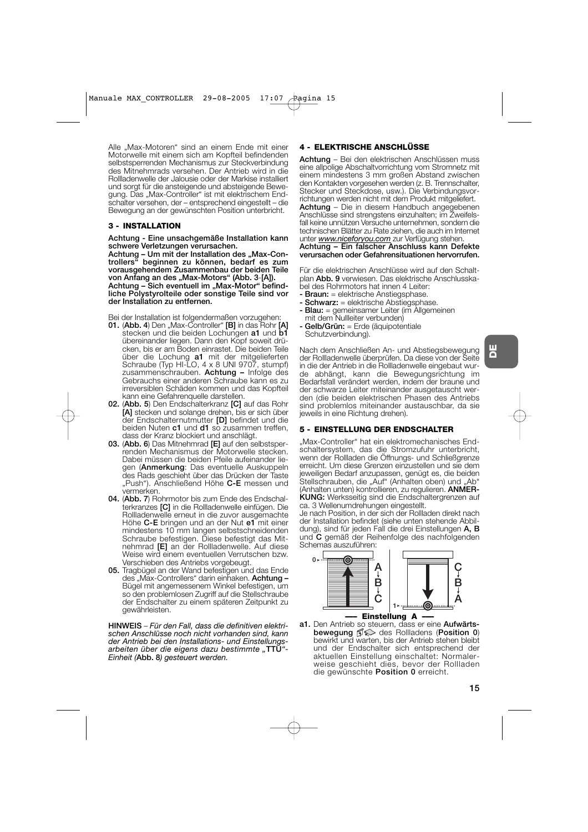Alle "Max-Motoren" sind an einem Ende mit einer Motorwelle mit einem sich am Kopfteil befindenden selbstsperrenden Mechanismus zur Steckverbindung des Mitnehmrads versehen. Der Antrieb wird in die Rollladenwelle der Jalousie oder der Markise installiert und sorgt für die ansteigende und absteigende Bewegung. Das "Max-Controller" ist mit elektrischem Endschalter versehen, der – entsprechend eingestellt – die Bewegung an der gewünschten Position unterbricht.

#### **3 - INSTALLATION**

**Achtung - Eine unsachgemäße Installation kann schwere Verletzungen verursachen.**

Achtung - Um mit der Installation des "Max-Con**trollers" beginnen zu können, bedarf es zum vorausgehendem Zusammenbau der beiden Teile** von Anfang an des "Max-Motors" (Abb. 3-[A]).

Achtung - Sich eventuell im "Max-Motor" befind**liche Polystyrolteile oder sonstige Teile sind vor der Installation zu entfernen.**

Bei der Installation ist folgendermaßen vorzugehen:

- **01.** (**Abb. 4**) Den "Max-Controller" **[B]** in das Rohr **[A]** stecken und die beiden Lochungen **a1** und **b1** übereinander liegen. Dann den Kopf soweit drücken, bis er am Boden einrastet. Die beiden Teile über die Lochung **a1** mit der mitgelieferten Schraube (Typ HI-LO, 4 x 8 UNI 9707, stumpf) zusammenschrauben. **Achtung –** Infolge des Gebrauchs einer anderen Schraube kann es zu irreversiblen Schäden kommen und das Kopfteil kann eine Gefahrenquelle darstellen.
- **02.** (**Abb. 5**) Den Endschalterkranz **[C]** auf das Rohr **[A]** stecken und solange drehen, bis er sich über der Endschalternutmutter **[D]** befindet und die beiden Nuten **c1** und **d1** so zusammen treffen, dass der Kranz blockiert und anschlägt.
- **03.** (**Abb. 6**) Das Mitnehmrad **[E]** auf den selbstsperrenden Mechanismus der Motorwelle stecken. Dabei müssen die beiden Pfeile aufeinander liegen (**Anmerkung**: Das eventuelle Auskuppeln des Rads geschieht über das Drücken der Taste "Push"). Anschließend Höhe **C-E** messen und vermerken.
- **04.** (**Abb. 7**) Rohrmotor bis zum Ende des Endschalterkranzes **[C]** in die Rollladenwelle einfügen. Die Rollladenwelle erneut in die zuvor ausgemachte Höhe **C-E** bringen und an der Nut **e1** mit einer mindestens 10 mm langen selbstschneidenden Schraube befestigen. Diese befestigt das Mitnehmrad **[E]** an der Rollladenwelle. Auf diese Weise wird einem eventuellen Verrutschen bzw. Verschieben des Antriebs vorgebeugt.
- **05.** Tragbügel an der Wand befestigen und das Ende des "Max-Controllers" darin einhaken. **Achtung –** Bügel mit angemessenem Winkel befestigen, um so den problemlosen Zugriff auf die Stellschraube der Endschalter zu einem späteren Zeitpunkt zu gewährleisten.

**HINWEIS** – *Für den Fall, dass die definitiven elektrischen Anschlüsse noch nicht vorhanden sind, kann der Antrieb bei den Installations- und Einstellungsarbeiten über die eigens dazu bestimmte "***TTU***"- Einheit (***Abb. 8***) gesteuert werden.*

#### **4 - ELEKTRISCHE ANSCHLÜSSE**

**Achtung** – Bei den elektrischen Anschlüssen muss eine allpolige Abschaltvorrichtung vom Stromnetz mit einem mindestens 3 mm großen Abstand zwischen den Kontakten vorgesehen werden (z. B. Trennschalter, Stecker und Steckdose, usw.). Die Verbindungsvorrichtungen werden nicht mit dem Produkt mitgeliefert. **Achtung** – Die in diesem Handbuch angegebenen Anschlüsse sind strengstens einzuhalten; im Zweifelsfall keine unnützen Versuche unternehmen, sondern die technischen Blätter zu Rate ziehen, die auch im Internet unter *www.niceforyou.com* zur Verfügung stehen. **Achtung – Ein falscher Anschluss kann Defekte verursachen oder Gefahrensituationen hervorrufen.**

Für die elektrischen Anschlüsse wird auf den Schaltplan **Abb. 9** verwiesen. Das elektrische Anschlusskabel des Rohrmotors hat innen 4 Leiter:

- **Braun:** = elektrische Anstiegsphase.
- **Schwarz:** = elektrische Abstiegsphase.
- **Blau:** = gemeinsamer Leiter (im Allgemeinen mit dem Nullleiter verbunden)
- **Gelb/Grün:** = Erde (äquipotentiale Schutzverbindung).

Nach dem Anschließen An- und Abstiegsbewegung der Rollladenwelle überprüfen. Da diese von der Seite in die der Antrieb in die Rollladenwelle eingebaut wurde abhängt, kann die Bewegungsrichtung im Bedarfsfall verändert werden, indem der braune und der schwarze Leiter miteinander ausgetauscht werden (die beiden elektrischen Phasen des Antriebs sind problemlos miteinander austauschbar, da sie jeweils in eine Richtung drehen).

#### **5 - EINSTELLUNG DER ENDSCHALTER**

"Max-Controller" hat ein elektromechanisches Endschaltersystem, das die Stromzufuhr unterbricht, wenn der Rollladen die Öffnungs- und Schließgrenze erreicht. Um diese Grenzen einzustellen und sie dem jeweiligen Bedarf anzupassen, genügt es, die beiden Stellschrauben, die "Auf" (Anhalten oben) und "Ab" (Anhalten unten) kontrollieren, zu regulieren. **ANMER-KUNG:** Werksseitig sind die Endschaltergrenzen auf ca. 3 Wellenumdrehungen eingestellt.

Je nach Position, in der sich der Rollladen direkt nach der Installation befindet (siehe unten stehende Abbildung), sind für jeden Fall die drei Einstellungen **A, B** und **C** gemäß der Reihenfolge des nachfolgenden Schemas auszuführen:



**a1.** Den Antrieb so steuern, dass er eine **Aufwärtsbewegung** des Rollladens (**Position 0**) bewirkt und warten, bis der Antrieb stehen bleibt und der Endschalter sich entsprechend der aktuellen Einstellung einschaltet: Normalerweise geschieht dies, bevor der Rollladen die gewünschte **Position 0** erreicht.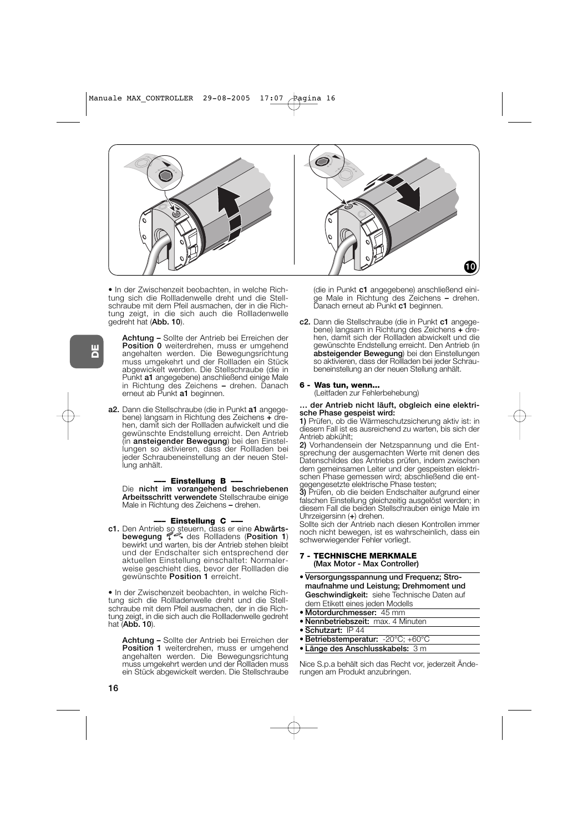

• In der Zwischenzeit beobachten, in welche Richtung sich die Rollladenwelle dreht und die Stellschraube mit dem Pfeil ausmachen, der in die Richtung zeigt, in die sich auch die Rollladenwelle gedreht hat (**Abb. 10**).

**Achtung –** Sollte der Antrieb bei Erreichen der Position 0 weiterdrehen, muss er umgehend angehalten werden. Die Bewegungsrichtung muss umgekehrt und der Rollladen ein Stück abgewickelt werden. Die Stellschraube (die in Punkt **a1** angegebene) anschließend einige Male in Richtung des Zeichens **–** drehen. Danach erneut ab Punkt **a1** beginnen.

**a2.** Dann die Stellschraube (die in Punkt **a1** angegebene) langsam in Richtung des Zeichens **+** drehen, damit sich der Rollladen aufwickelt und die gewünschte Endstellung erreicht. Den Antrieb (in **ansteigender Bewegung**) bei den Einstellungen so aktivieren, dass der Rollladen bei jeder Schraubeneinstellung an der neuen Stellung anhält.

#### **––– Einstellung B –––** Die **nicht im vorangehend beschriebenen Arbeitsschritt verwendete** Stellschraube einige Male in Richtung des Zeichens **–** drehen.

#### **––– Einstellung C –––**

**c1.** Den Antrieb so steuern, dass er eine **Abwärtsbewegung**  $\sqrt[4]{\infty}$  des Rollladens (**Position 1**) bewirkt und warten, bis der Antrieb stehen bleibt und der Endschalter sich entsprechend der aktuellen Einstellung einschaltet: Normalerweise geschieht dies, bevor der Rollladen die gewünschte **Position 1** erreicht.

• In der Zwischenzeit beobachten, in welche Richtung sich die Rollladenwelle dreht und die Stellschraube mit dem Pfeil ausmachen, der in die Richtung zeigt, in die sich auch die Rollladenwelle gedreht hat (**Abb. 10**).

**Achtung –** Sollte der Antrieb bei Erreichen der **Position 1** weiterdrehen, muss er umgehend angehalten werden. Die Bewegungsrichtung muss umgekehrt werden und der Rollladen muss ein Stück abgewickelt werden. Die Stellschraube (die in Punkt **c1** angegebene) anschließend einige Male in Richtung des Zeichens **–** drehen. Danach erneut ab Punkt **c1** beginnen.

**c2.** Dann die Stellschraube (die in Punkt **c1** angegebene) langsam in Richtung des Zeichens **+** drehen, damit sich der Rollladen abwickelt und die gewünschte Endstellung erreicht. Den Antrieb (in **absteigender Bewegung**) bei den Einstellungen so aktivieren, dass der Rollladen bei jeder Schraubeneinstellung an der neuen Stellung anhält.

#### **6 - Was tun, wenn...**

(Leitfaden zur Fehlerbehebung)

#### **… der Antrieb nicht läuft, obgleich eine elektrische Phase gespeist wird:**

**1)** Prüfen, ob die Wärmeschutzsicherung aktiv ist: in diesem Fall ist es ausreichend zu warten, bis sich der Antrieb abkühlt;

**2)** Vorhandensein der Netzspannung und die Entsprechung der ausgemachten Werte mit denen des Datenschildes des Antriebs prüfen, indem zwischen dem gemeinsamen Leiter und der gespeisten elektrischen Phase gemessen wird; abschließend die entgegengesetzte elektrische Phase testen;

**3)** Prüfen, ob die beiden Endschalter aufgrund einer falschen Einstellung gleichzeitig ausgelöst werden; in diesem Fall die beiden Stellschrauben einige Male im Uhrzeigersinn (**+**) drehen.

Sollte sich der Antrieb nach diesen Kontrollen immer noch nicht bewegen, ist es wahrscheinlich, dass ein schwerwiegender Fehler vorliegt.

#### **7 - TECHNISCHE MERKMALE (Max Motor - Max Controller)**

- **Versorgungsspannung und Frequenz; Stromaufnahme und Leistung; Drehmoment und Geschwindigkeit:** siehe Technische Daten auf dem Etikett eines jeden Modells
- **Motordurchmesser:** 45 mm
- **Nennbetriebszeit:** max. 4 Minuten
- **Schutzart:** IP 44
- **Betriebstemperatur:** -20°C; +60°C
- **Länge des Anschlusskabels:** 3 m

Nice S.p.a behält sich das Recht vor, jederzeit Änderungen am Produkt anzubringen.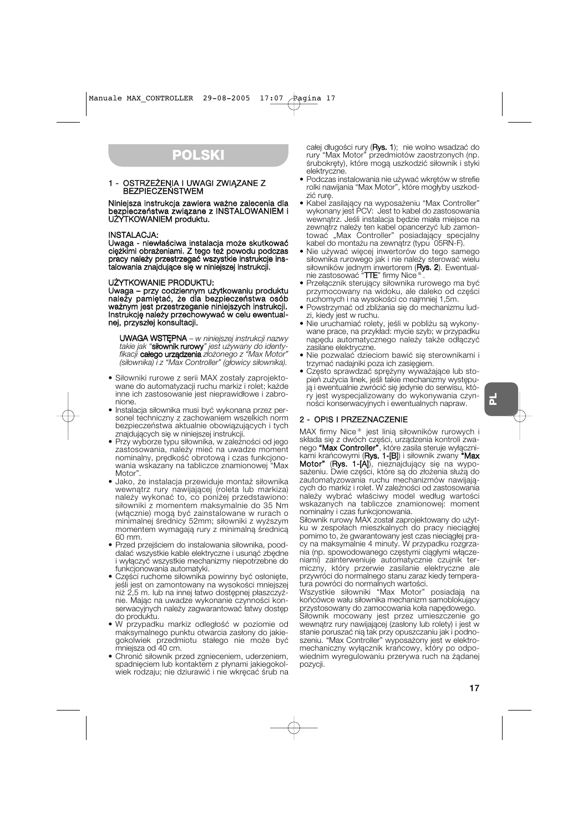#### 1 - OSTRZEŻENIA I UWAGI ZWIĄZANE Z **BEZPIECZEŃSTWEM**

Niniejsza instrukcja zawiera ważne zalecenia dla bezpieczeństwa związane z INSTALOWANIEM i UŻYTKOWANIEM produktu.

#### INSTALACJA:

Uwaga - niewłaściwa instalacja może skutkować ciężkimi obrażeniami. Z tego też powodu podczas pracy należy przestrzegać wszystkie instrukcje instalowania znajdujące się w niniejszej instrukcji.

#### UŻYTKOWANIE PRODUKTU:

Uwaga – przy codziennym użytkowaniu produktu należy pamiętać, że dla bezpieczeństwa osób ważnym jest przestrzeganie niniejszych instrukcji. Instrukcję należy przechowywać w celu ewentualnej, przyszłej konsultacji.

UWAGA WSTĘPNA – *w niniejszej instrukcji nazwy takie jak "*siłownik rurowy*" jest używany do identyfikacji* całego urządzenia *złożonego z "Max Motor" (siłownika) i z "Max Controller" (głowicy siłownika).*

- Siłowniki rurowe z serii MAX zostały zaprojektowane do automatyzacji ruchu markiz i rolet; każde inne ich zastosowanie jest nieprawidłowe i zabronione.
- Instalacja siłownika musi być wykonana przez personel techniczny z zachowaniem wszelkich norm bezpieczeństwa aktualnie obowiązujących i tych znajdujących się w niniejszej instrukcji.
- Przy wyborze typu siłownika, w zależności od jego zastosowania, należy mieć na uwadze moment nominalny, prędkość obrotową i czas funkcjonowania wskazany na tabliczce znamionowej "Max Motor".
- Jako, że instalacja przewiduje montaż siłownika wewnątrz rury nawijającej (roleta lub markiza) należy wykonać to, co poniżej przedstawiono: siłowniki z momentem maksymalnie do 35 Nm (włącznie) mogą być zainstalowane w rurach o minimalnej średnicy 52mm; siłowniki z wyższym momentem wymagają rury z minimalną średnicą 60 mm.
- Przed przejściem do instalowania siłownika, pooddalać wszystkie kable elektryczne i usunąć zbędne i wyłączyć wszystkie mechanizmy niepotrzebne do funkcjonowania automatyki.
- Części ruchome siłownika powinny być osłonięte, jeśli jest on zamontowany na wysokości mniejszej niż 2,5 m. lub na innej łatwo dostępnej płaszczyźnie. Mając na uwadze wykonanie czynności konserwacyjnych należy zagwarantować łatwy dostęp do produktu.
- W przypadku markiz odległość w poziomie od maksymalnego punktu otwarcia zasłony do jakiegokolwiek przedmiotu stałego nie może być mniejsza od 40 cm.
- Chronić siłownik przed zgnieceniem, uderzeniem, spadnięciem lub kontaktem z płynami jakiegokolwiek rodzaju; nie dziurawić i nie wkręcać śrub na

**POLSKI** całej długości rury (Rys. 1); nie wolno wsadzać do rury "Max Motor" przedmiotów zaostrzonych (np.<br>*in wolnowanych (np. 1)* całej do rury "Max Motor" przedmiotów zaostrzonych (np. 1) śrubokręty), które mogą uszkodzić siłownik i styki elektryczne.

- Podczas instalowania nie używać wkrętów w strefie rolki nawijania "Max Motor", które mogłyby uszkodzić rurę.
- Kabel zasilający na wyposażeniu "Max Controller" wykonany jest PCV: Jest to kabel do zastosowania wewnątrz. Jeśli instalacja będzie miała miejsce na zewnątrz należy ten kabel opancerzyć lub zamontować "Max Controller" posiadający specjalny kabel do montażu na zewnątrz (typu 05RN-F).
- Nie używać więcej inwertorów do tego samego siłownika rurowego jak i nie należy sterować wielu siłowników jednym inwertorem (Rys. 2). Ewentualnie zastosować "TTE" firmy Nice®.
- Przełącznik sterujący siłownika rurowego ma być przymocowany na widoku, ale daleko od części ruchomych i na wysokości co najmniej 1,5m.
- Powstrzymać od zbliżania się do mechanizmu ludzi, kiedy jest w ruchu.
- Nie uruchamiać rolety, jeśli w pobliżu są wykonywane prace, na przykład: mycie szyb; w przypadku napędu automatycznego należy także odłączyć zasilane elektryczne.
- Nie pozwalać dzieciom bawić się sterownikami i trzymać nadajniki poza ich zasięgiem.
- Często sprawdzać sprężyny wyważające lub stopień zużycia linek, jeśli takie mechanizmy występują i ewentualnie zwrócić się jedynie do serwisu, który jest wyspecjalizowany do wykonywania czynności konserwacyjnych i ewentualnych napraw.

#### 2 - OPIS I PRZEZNACZENIE

MAX firmy Nice® jest linią siłowników rurowych i składa się z dwóch części, urządzenia kontroli zwanego "Max Controller", które zasila steruje wyłącznikami krańcowymi (Rys. 1-[B]) i siłownik zwany "Max Motor" (Rys. 1-[A]), nieznajdujący się na wyposażeniu. Dwie części, które są do złożenia służą do zautomatyzowania ruchu mechanizmów nawijających do markiz i rolet. W zależności od zastosowania należy wybrać właściwy model według wartości wskazanych na tabliczce znamionowej: moment nominalny i czas funkcjonowania.

Siłownik rurowy MAX został zaprojektowany do użytku w zespołach mieszkalnych do pracy nieciągłej pomimo to, że gwarantowany jest czas nieciągłej pracy na maksymalnie 4 minuty. W przypadku rozgrzania (np. spowodowanego częstymi ciągłymi włączeniami) zainterweniuje automatycznie czujnik termiczny, który przerwie zasilanie elektryczne ale przywróci do normalnego stanu zaraz kiedy temperatura powróci do normalnych wartości.

Wszystkie siłowniki "Max Motor" posiadają na końcówce wału siłownika mechanizm samoblokujący przystosowany do zamocowania koła napędowego.

Siłownik mocowany jest przez umieszczenie go wewnątrz rury nawijającej (zasłony lub rolety) i jest w stanie poruszać nią tak przy opuszczaniu jak i podnoszeniu. "Max Controller" wyposażony jest w elektromechaniczny wyłącznik krańcowy, który po odpowiednim wyregulowaniu przerywa ruch na żądanej pozycji.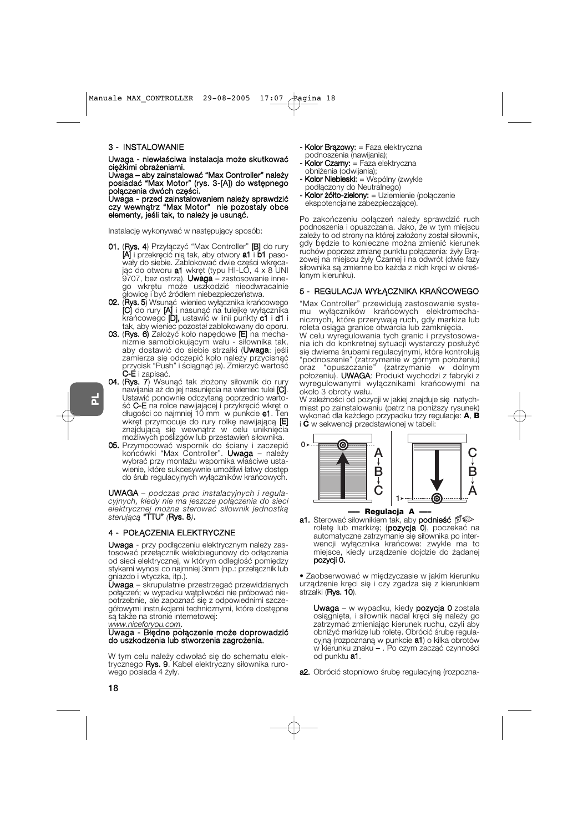#### 3 - INSTALOWANIE

Uwaga - niewłaściwa instalacja może skutkować ciężkimi obrażeniami.

Uwaga – aby zainstalować "Max Controller" należy posiadać "Max Motor" (rys. 3-[A]) do wstępnego połączenia dwóch części.

Uwaga - przed zainstalowaniem należy sprawdzić czy wewnątrz "Max Motor" nie pozostały obce elementy, jeśli tak, to należy je usunąć.

Instalację wykonywać w następujący sposób:

- 01. (Rys. 4) Przyłączyć "Max Controller" [B] do rury [A] i przekręcić nią tak, aby otwory a1 i b1 pasowały do siebie. Zablokować dwie części wkręcając do otworu  $a1$  wkręt (typu HI-LO,  $4 \times 8$  UNI 9707, bez ostrza). Uwaga – zastosowanie innego wkrętu może uszkodzić nieodwracalnie głowicę i być źródłem niebezpieczeństwa.
- **02. (Rys. 5**) Wsunąć wieniec wyłącznika krańcowego [C] do rury [A] i nasunąć na tulejkę wyłącznika krańcowego [D], ustawić w linii punkty c1 i d1 i tak, aby wieniec pozostał zablokowany do oporu.
- 03. (Rys. 6) Założyć koło napędowe [E] na mechanizmie samoblokującym wału - siłownika tak, aby dostawić do siebie strzałki (Uwaga: jeśli zamierza się odczepić koło należy przycisnąć przycisk "Push" i ściągnąć je). Zmierzyć wartość C-E i zapisać.
- 04. (Rys. 7) Wsunąć tak złożony siłownik do rury nawijania aż do jej nasuniecia na wieniec tulei **[C]**. Ustawić ponownie odczytaną poprzednio wartość C-E na rolce nawijającej i przykręcić wkręt o długości co najmniej 10 mm w punkcie e1. Ten wkręt przymocuje do rury rolkę nawijającą [E] znajdującą się wewnątrz w celu uniknięcia możliwych poślizgów lub przestawień siłownika.
- 05. Przymocować wspornik do ściany i zaczepić końcówki "Max Controller". Uwaga – należy wybrać przy montażu wspornika właściwe ustawienie, które sukcesywnie umożliwi łatwy dostęp do śrub regulacyjnych wyłączników krańcowych.

UWAGA *– podczas prac instalacyjnych i regulacyjnych, kiedy nie ma jeszcze połączenia do sieci elektrycznej można sterować siłownik jednostką sterującą* "TTU" *(*Rys. 8*)*.

## 4 - POŁĄCZENIA ELEKTRYCZNE

Uwaga - przy podłączeniu elektrycznym należy zastosować przełącznik wielobiegunowy do odłączenia od sieci elektrycznej, w którym odległość pomiędzy stykami wynosi co najmniej 3mm (np.: przełącznik lub gniazdo i wtyczka, itp.).

Uwaga – skrupulatnie przestrzegać przewidzianych połączeń; w wypadku wątpliwości nie próbować niepotrzebnie, ale zapoznać się z odpowiednimi szczegółowymi instrukcjami technicznymi, które dostępne są także na stronie internetowej:<br>www.niceforyou.com.

*www.niceforyou.com*. Uwaga - Błędne połączenie może doprowadzić do uszkodzenia lub stworzenia zagrożenia.

W tym celu należy odwołać się do schematu elektrycznego Rys. 9. Kabel elektryczny siłownika rurowego posiada 4 żyły.

- Kolor Brązowy: = Faza elektryczna podnoszenia (nawijania);
- Kolor Czarny: = Faza elektryczna obniżenia (odwijania);
- Kolor Niebieski: = Wspólny (zwykle podłączony do Neutralnego)
- Kolor żółto-zielony: = Uziemienie (połączenie ekspotencjalne zabezpieczające).

Po zakończeniu połączeń należy sprawdzić ruch podnoszenia i opuszczania. Jako, że w tym miejscu zależy to od strony na której założony został siłownik, gdy będzie to konieczne można zmienić kierunek ruchów poprzez zmianę punktu połączenia: żyły Brązowej na miejscu żyły Czarnej i na odwrót (dwie fazy siłownika są zmienne bo każda z nich kręci w określonym kierunku).

## 5 - REGULACJA WYŁĄCZNIKA KRAŃCOWEGO

"Max Controller" przewidują zastosowanie systemu wyłączników krańcowych elektromechanicznych, które przerywają ruch, gdy markiza lub roleta osiąga granice otwarcia lub zamknięcia.

W celu wyregulowania tych granic i przystosowania ich do konkretnej sytuacji wystarczy posłużyć się dwiema śrubami regulacyjnymi, które kontrolują "podnoszenie" (zatrzymanie w górnym położeniu) oraz "opuszczanie" (zatrzymanie w dolnym położeniu). UWAGA: Produkt wychodzi z fabryki z wyregulowanymi wyłącznikami krańcowymi na około 3 obroty wału.

W zależności od pozycji w jakiej znajduje się natychmiast po zainstalowaniu (patrz na poniższy rysunek) wykonać dla każdego przypadku trzy regulacje: **A**, **B** i **C** w sekwencji przedstawionej w tabeli:



**––– Regulacja A –––**

a1. Sterować siłownikiem tak, aby podnieść  $\widehat{\beta}$ roletę lub markizę; (pozycja 0), poczekać na automatyczne zatrzymanie się siłownika po interwencji wyłącznika krańcowe: zwykle ma to miejsce, kiedy urządzenie dojdzie do żądanej pozycji 0.

• Zaobserwować w międzyczasie w jakim kierunku urządzenie kręci się i czy zgadza się z kierunkiem strzałki (Rys. 10).

Uwaga – w wypadku, kiedy pozycja 0 została osiągnięta, i siłownik nadal kręci się należy go zatrzymać zmieniając kierunek ruchu, czyli aby obniżyć markizę lub roletę. Obrócić śrubę regulacyjną (rozpoznaną w punkcie a1) o kilka obrotów w kierunku znaku **–** . Po czym zacząć czynności od punktu a1.

a2. Obrócić stopniowo śrubę regulacyjną (rozpozna-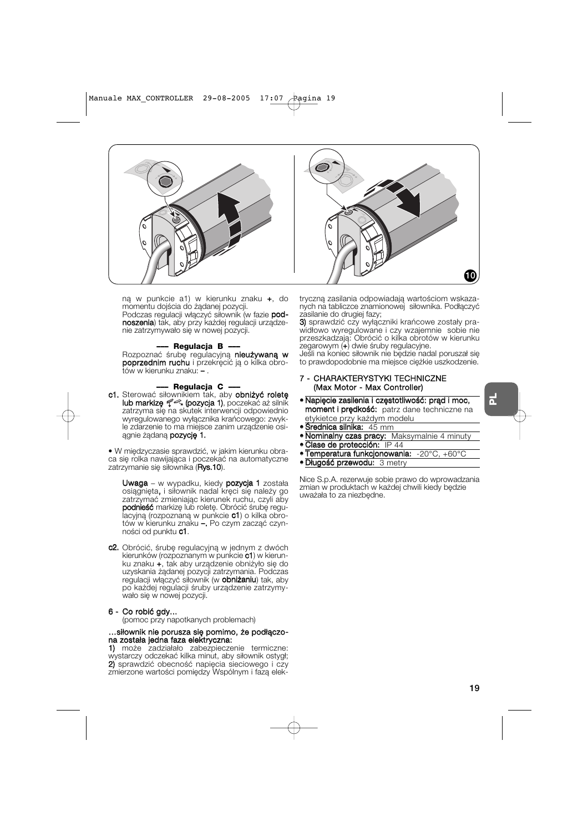

ną w punkcie a1) w kierunku znaku **+**, do momentu dojścia do żądanej pozycji.

Podczas regulacji włączyć siłownik (w fazie podnoszenia) tak, aby przy każdej regulacji urządzenie zatrzymywało się w nowej pozycji.

#### **––– Regulacja B –––**

Rozpoznać śrube regulacyjna **nieużywana w** poprzednim ruchu i przekręcić ją o kilka obrotów w kierunku znaku: **–** .

#### **––– Regulacja C –––**

c1. Sterować siłownikiem tak, aby obniżyć roletę lub markizę  $\mathcal{P} \ll$  (pozycja 1), poczekać aż silnik zatrzyma się na skutek interwencji odpowiednio wyregulowanego wyłącznika krańcowego: zwykle zdarzenie to ma miejsce zanim urządzenie osiągnie żądaną pozycję 1.

• W międzyczasie sprawdzić, w jakim kierunku obraca się rolka nawijająca i poczekać na automatyczne zatrzymanie się siłownika (Rys.10).

Uwaga – w wypadku, kiedy pozycja 1 została osiągnięta, i siłownik nadal kręci się należy go zatrzymać zmieniając kierunek ruchu, czyli aby podnieść markizę lub roletę. Obrócić śrubę regulacyjną (rozpoznaną w punkcie c1) o kilka obrotów w kierunku znaku **–**. Po czym zacząć czynności od punktu c1.

c2. Obrócić, śrubę regulacyjną w jednym z dwóch kierunków (rozpoznanym w punkcie c1) w kierunku znaku **+**, tak aby urządzenie obniżyło się do uzyskania żądanej pozycji zatrzymania. Podczas regulacji włączyć siłownik (w obniżaniu) tak, aby po każdej regulacji śruby urządzenie zatrzymywało się w nowej pozycji.

#### 6 - Co robić gdy...

(pomoc przy napotkanych problemach)

#### …siłownik nie porusza się pomimo, że podłączona została jedna faza elektryczna:

1) może zadziałało zabezpieczenie termiczne: wystarczy odczekać kilka minut, aby siłownik ostygł; 2) sprawdzić obecność napięcia sieciowego i czy zmierzone wartości pomiędzy Wspólnym i fazą elek-

tryczną zasilania odpowiadają wartościom wskazanych na tabliczce znamionowej siłownika. Podłączyć zasilanie do drugiej fazy;

3) sprawdzić czy wyłączniki krańcowe zostały prawidłowo wyregulowane i czy wzajemnie sobie nie przeszkadzają: Obrócić o kilka obrotów w kierunku zegarowym (**+**) dwie śruby regulacyjne.

Jeśli na koniec siłownik nie będzie nadal poruszał się to prawdopodobnie ma miejsce ciężkie uszkodzenie.

#### 7 - CHARAKTERYSTYKI TECHNICZNE (Max Motor - Max Controller)

- Napięcie zasilenia i częstotliwość: prąd i moc, moment i prędkość: patrz dane techniczne na etykietce przy każdym modelu
- Średnica silnika: 45 mm
- Nominalny czas pracy: Maksymalnie 4 minuty
- Clase de protección: IP 44
- Temperatura funkcjonowania: -20°C, +60°C
- Długość przewodu: 3 metry

Nice S.p.A. rezerwuje sobie prawo do wprowadzania zmian w produktach w każdej chwili kiedy będzie uważała to za niezbędne.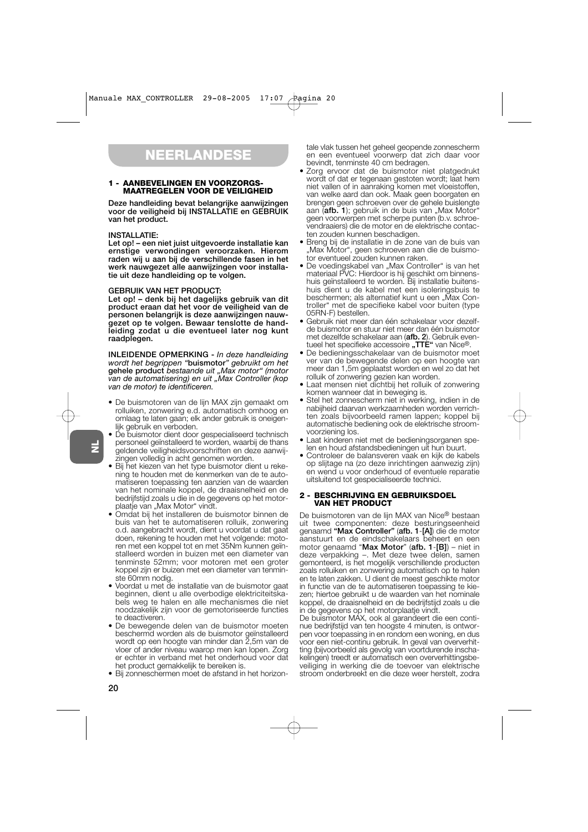#### **1 - AANBEVELINGEN EN VOORZORGS-MAATREGELEN VOOR DE VEILIGHEID**

**Deze handleiding bevat belangrijke aanwijzingen voor de veiligheid bij INSTALLATIE en GEBRUIK van het product.**

#### **INSTALLATIE:**

**Let op! – een niet juist uitgevoerde installatie kan ernstige verwondingen veroorzaken. Hierom raden wij u aan bij de verschillende fasen in het werk nauwgezet alle aanwijzingen voor installatie uit deze handleiding op te volgen.**

#### **GEBRUIK VAN HET PRODUCT:**

**Let op! – denk bij het dagelijks gebruik van dit product eraan dat het voor de veiligheid van de personen belangrijk is deze aanwijzingen nauwgezet op te volgen. Bewaar tenslotte de handleiding zodat u die eventueel later nog kunt raadplegen.**

**INLEIDENDE OPMERKING -** *In deze handleiding wordt het begrippen "***buismotor***" gebruikt om het* **gehele product** *bestaande uit "Max motor" (motor van de automatisering) en uit "Max Controller (kop van de motor) te identificeren.*

- De buismotoren van de lijn MAX zijn gemaakt om rolluiken, zonwering e.d. automatisch omhoog en omlaag te laten gaan; elk ander gebruik is oneigenlijk gebruik en verboden.
- De buismotor dient door gespecialiseerd technisch personeel geïnstalleerd te worden, waarbij de thans geldende veiligheidsvoorschriften en deze aanwijzingen volledig in acht genomen worden.
- Bij het kiezen van het type buismotor dient u rekening te houden met de kenmerken van de te automatiseren toepassing ten aanzien van de waarden van het nominale koppel, de draaisnelheid en de bedrijfstijd zoals u die in de gegevens op het motorplaatje van "Max Motor" vindt.
- Omdat bij het installeren de buismotor binnen de buis van het te automatiseren rolluik, zonwering o.d. aangebracht wordt, dient u voordat u dat gaat doen, rekening te houden met het volgende: motoren met een koppel tot en met 35Nm kunnen geïnstalleerd worden in buizen met een diameter van tenminste 52mm; voor motoren met een groter koppel zijn er buizen met een diameter van tenminste 60mm nodig.
- Voordat u met de installatie van de buismotor gaat beginnen, dient u alle overbodige elektriciteitskabels weg te halen en alle mechanismes die niet noodzakelijk zijn voor de gemotoriseerde functies te deactiveren.
- De bewegende delen van de buismotor moeten beschermd worden als de buismotor geïnstalleerd wordt op een hoogte van minder dan 2,5m van de vloer of ander niveau waarop men kan lopen. Zorg er echter in verband met het onderhoud voor dat het product gemakkelijk te bereiken is.
- Bij zonneschermen moet de afstand in het horizon-

**NEERLANDESE** tale vlak tussen het geheel geopende zonnescherm<br> **NEERLANDESE** en een eventueel voorwerp dat zich daar voor en een eventueel voorwerp dat zich daar voor bevindt, tenminste 40 cm bedragen.

- Zorg ervoor dat de buismotor niet platgedrukt wordt of dat er tegenaan gestoten wordt; laat hem niet vallen of in aanraking komen met vloeistoffen, van welke aard dan ook. Maak geen boorgaten en brengen geen schroeven over de gehele buislengte aan (afb. 1); gebruik in de buis van "Max Motor" geen voorwerpen met scherpe punten (b.v. schroevendraaiers) die de motor en de elektrische contacten zouden kunnen beschadigen.
- Breng bij de installatie in de zone van de buis van "Max Motor", geen schroeven aan die de buismotor eventueel zouden kunnen raken.
- De voedingskabel van "Max Controller" is van het materiaal PVC: Hierdoor is hij geschikt om binnenshuis geïnstalleerd te worden. Bij installatie buitenshuis dient u de kabel met een isoleringsbuis te beschermen; als alternatief kunt u een "Max Controller" met de specifieke kabel voor buiten (type 05RN-F) bestellen.
- Gebruik niet meer dan één schakelaar voor dezelfde buismotor en stuur niet meer dan één buismotor met dezelfde schakelaar aan (**afb. 2**). Gebruik eventueel het specifieke accessoire "TTE" van Nice®.
- De bedieningsschakelaar van de buismotor moet ver van de bewegende delen op een hoogte van meer dan 1,5m geplaatst worden en wel zo dat het rolluik of zonwering gezien kan worden.
- Laat mensen niet dichtbij het rolluik of zonwering komen wanneer dat in beweging is.
- Stel het zonnescherm niet in werking, indien in de nabijheid daarvan werkzaamheden worden verrichten zoals bijvoorbeeld ramen lappen; koppel bij automatische bediening ook de elektrische stroomvoorziening los.
- Laat kinderen niet met de bedieningsorganen spelen en houd afstandsbedieningen uit hun buurt.
- Controleer de balansveren vaak en kijk de kabels op slijtage na (zo deze inrichtingen aanwezig zijn) en wend u voor onderhoud of eventuele reparatie uitsluitend tot gespecialiseerde technici.

#### **2 - BESCHRIJVING EN GEBRUIKSDOEL VAN HET PRODUCT**

De buismotoren van de lijn MAX van Nice® bestaan uit twee componenten: deze besturingseenheid genaamd **"Max Controller"** (**afb. 1**-**[A]**) die de motor aanstuurt en de eindschakelaars beheert en een motor genaamd "**Max Motor**" (**afb. 1**-**[B]**) – niet in deze verpakking –. Met deze twee delen, samen gemonteerd, is het mogelijk verschillende producten zoals rolluiken en zonwering automatisch op te halen en te laten zakken. U dient de meest geschikte motor in functie van de te automatiseren toepassing te kiezen; hiertoe gebruikt u de waarden van het nominale koppel, de draaisnelheid en de bedrijfstijd zoals u die in de gegevens op het motorplaatje vindt.

De buismotor MAX, ook al garandeert die een continue bedrijfstijd van ten hoogste 4 minuten, is ontworpen voor toepassing in en rondom een woning, en dus voor een niet-continu gebruik. In geval van oververhitting (bijvoorbeeld als gevolg van voortdurende inschakelingen) treedt er automatisch een oververhittingsbeveiliging in werking die de toevoer van elektrische stroom onderbreekt en die deze weer herstelt, zodra

**NL**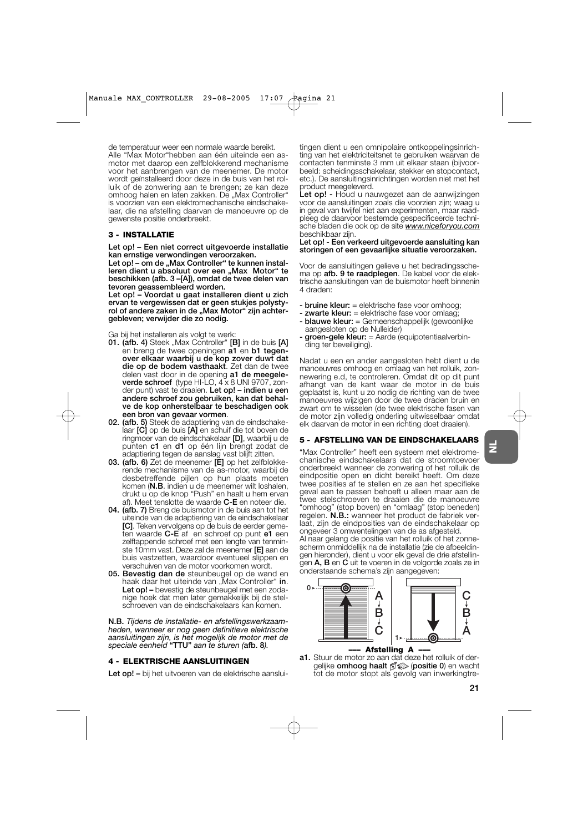de temperatuur weer een normale waarde bereikt.

Alle "Max Motor"hebben aan één uiteinde een asmotor met daarop een zelfblokkerend mechanisme voor het aanbrengen van de meenemer. De motor wordt geïnstalleerd door deze in de buis van het rolluik of de zonwering aan te brengen; ze kan deze omhoog halen en laten zakken. De "Max Controller" is voorzien van een elektromechanische eindschakelaar, die na afstelling daarvan de manoeuvre op de gewenste positie onderbreekt.

#### **3 - INSTALLATIE**

**Let op! – Een niet correct uitgevoerde installatie kan ernstige verwondingen veroorzaken.**

Let op! – om de "Max Controller" te kunnen installeren dient u absoluut over een "Max Motor" te **beschikken (afb. 3 –[A]), omdat de twee delen van tevoren geassembleerd worden.**

**Let op! – Voordat u gaat installeren dient u zich ervan te vergewissen dat er geen stukjes polysty**rol of andere zaken in de "Max Motor" zijn achter**gebleven; verwijder die zo nodig.**

Ga bij het installeren als volgt te werk:

- **01. (afb. 4)** Steek "Max Controller" **[B]** in de buis **[A]** en breng de twee openingen **a1** en **b1 tegenover elkaar waarbij u de kop zover duwt dat die op de bodem vasthaakt**. Zet dan de twee delen vast door in de opening **a1 de meegeleverde schroef** (type HI-LO, 4 x 8 UNI 9707, zonder punt) vast te draaien. **Let op! – indien u een andere schroef zou gebruiken, kan dat behalve de kop onherstelbaar te beschadigen ook een bron van gevaar vormen**.
- **02. (afb. 5)** Steek de adaptiering van de eindschakelaar **[C]** op de buis **[A]** en schuif die tot boven de ringmoer van de eindschakelaar **[D]**, waarbij u de punten **c1** en **d1** op één lijn brengt zodat de adaptiering tegen de aanslag vast blijft zitten.
- **03. (afb. 6)** Zet de meenemer **[E]** op het zelfblokkerende mechanisme van de as-motor, waarbij de desbetreffende pijlen op hun plaats moeten komen (**N.B**. indien u de meenemer wilt loshalen, drukt u op de knop "Push" en haalt u hem ervan af). Meet tenslotte de waarde **C-E** en noteer die.
- **04. (afb. 7)** Breng de buismotor in de buis aan tot het uiteinde van de adaptiering van de eindschakelaar **[C]**. Teken vervolgens op de buis de eerder gemeten waarde **C-E** af en schroef op punt **e1** een zelftappende schroef met een lengte van tenminste 10mm vast. Deze zal de meenemer **[E]** aan de buis vastzetten, waardoor eventueel slippen en verschuiven van de motor voorkomen wordt.
- **05. Bevestig dan de** steunbeugel op de wand en haak daar het uiteinde van "Max Controller" **in**. **Let op! –** bevestig de steunbeugel met een zodanige hoek dat men later gemakkelijk bij de stelschroeven van de eindschakelaars kan komen.

**N.B.** *Tijdens de installatie- en afstellingswerkzaamheden, wanneer er nog geen definitieve elektrische aansluitingen zijn, is het mogelijk de motor met de speciale eenheid* **"TTU"** *aan te sturen (***afb. 8***).*

#### **4 - ELEKTRISCHE AANSLUITINGEN**

**Let op! –** bij het uitvoeren van de elektrische aanslui-

tingen dient u een omnipolaire ontkoppelingsinrichting van het elektriciteitsnet te gebruiken waarvan de contacten tenminste 3 mm uit elkaar staan (bijvoorbeeld: scheidingsschakelaar, stekker en stopcontact, etc.). De aansluitingsinrichtingen worden niet met het product meegeleverd.

**Let op! -** Houd u nauwgezet aan de aanwijzingen voor de aansluitingen zoals die voorzien zijn; waag u in geval van twijfel niet aan experimenten, maar raadpleeg de daarvoor bestemde gespecificeerde technische bladen die ook op de site *www.niceforyou.com* beschikbaar zijn.

**Let op! - Een verkeerd uitgevoerde aansluiting kan storingen of een gevaarlijke situatie veroorzaken.**

Voor de aansluitingen gelieve u het bedradingsschema op **afb. 9 te raadplegen**. De kabel voor de elektrische aansluitingen van de buismotor heeft binnenin 4 draden:

- **bruine kleur:** = elektrische fase voor omhoog;
- **zwarte kleur:** = elektrische fase voor omlaag;
- **blauwe kleur:** = Gemeenschappelijk (gewoonlijke aangesloten op de Nulleider)
- **groen-gele kleur:** = Aarde (equipotentiaalverbinding ter beveiliging).

Nadat u een en ander aangesloten hebt dient u de manoeuvres omhoog en omlaag van het rolluik, zonnewering e.d, te controleren. Omdat dit op dit punt afhangt van de kant waar de motor in de buis geplaatst is, kunt u zo nodig de richting van de twee manoeuvres wijzigen door de twee draden bruin en zwart om te wisselen (de twee elektrische fasen van de motor zijn volledig onderling uitwisselbaar omdat elk daarvan de motor in een richting doet draaien).

## **5 - AFSTELLING VAN DE EINDSCHAKELAARS**

"Max Controller" heeft een systeem met elektromechanische eindschakelaars dat de stroomtoevoer onderbreekt wanneer de zonwering of het rolluik de eindpositie open en dicht bereikt heeft. Om deze twee posities af te stellen en ze aan het specifieke geval aan te passen behoeft u alleen maar aan de twee stelschroeven te draaien die de manoeuvre "omhoog" (stop boven) en "omlaag" (stop beneden) regelen. **N.B.:** wanneer het product de fabriek verlaat, zijn de eindposities van de eindschakelaar op ongeveer 3 omwentelingen van de as afgesteld.

Al naar gelang de positie van het rolluik of het zonnescherm onmiddellijk na de installatie (zie de afbeeldingen hieronder), dient u voor elk geval de drie afstellingen **A, B** en **C** uit te voeren in de volgorde zoals ze in onderstaande schema's zijn aangegeven:



#### **––– Afstelling A –––**

**a1.** Stuur de motor zo aan dat deze het rolluik of dergelijke **omhoog haalt** (**positie 0**) en wacht tot de motor stopt als gevolg van inwerkingtre-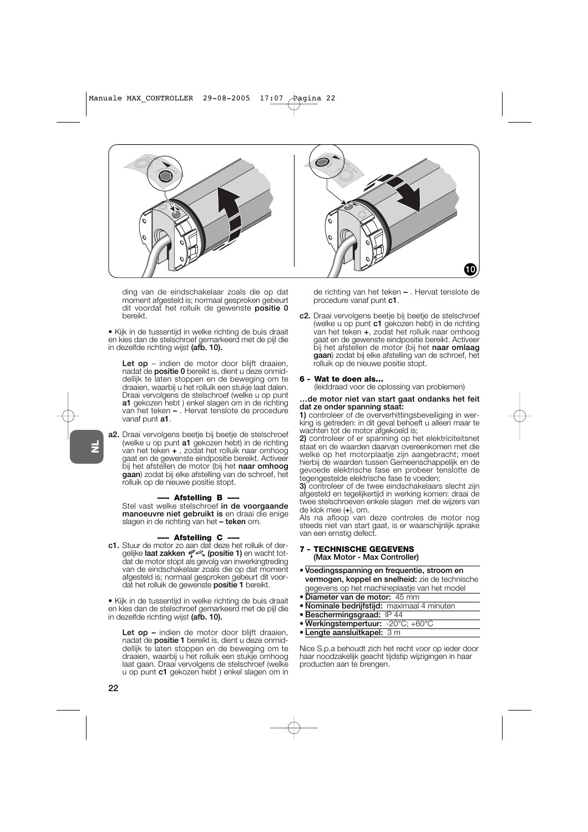

ding van de eindschakelaar zoals die op dat moment afgesteld is; normaal gesproken gebeurt dit voordat het rolluik de gewenste **positie 0** bereikt.

**•** Kijk in de tussentijd in welke richting de buis draait en kies dan de stelschroef gemarkeerd met de pijl die in dezelfde richting wijst **(afb. 10).**

Let op – indien de motor door blijft draaien, nadat de **positie 0** bereikt is, dient u deze onmiddellijk te laten stoppen en de beweging om te draaien, waarbij u het rolluik een stukje laat dalen. Draai vervolgens de stelschroef (welke u op punt **a1** gekozen hebt ) enkel slagen om in de richting van het teken **–** . Hervat tenslote de procedure vanaf punt **a1**.

**a2.** Draai vervolgens beetje bij beetje de stelschroef (welke u op punt **a1** gekozen hebt) in de richting van het teken **+** , zodat het rolluik naar omhoog gaat en de gewenste eindpositie bereikt. Activeer bij het afstellen de motor (bij het **naar omhoog gaan**) zodat bij elke afstelling van de schroef, het rolluik op de nieuwe positie stopt.

#### **––– Afstelling B –––**

Stel vast welke stelschroef **in de voorgaande manoeuvre niet gebruikt is** en draai die enige slagen in de richting van het **– teken** om.

#### **––– Afstelling C –––**

**c1.** Stuur de motor zo aan dat deze het rolluik of dergelijke **laat zakken <a>** (positie 1) en wacht totdat de motor stopt als gevolg van inwerkingtreding van de eindschakelaar zoals die op dat moment afgesteld is; normaal gesproken gebeurt dit voordat het rolluik de gewenste **positie 1** bereikt.

• Kijk in de tussentijd in welke richting de buis draait en kies dan de stelschroef gemarkeerd met de pijl die in dezelfde richting wijst **(afb. 10).**

**Let op –** indien de motor door blijft draaien, nadat de **positie 1** bereikt is, dient u deze onmiddellijk te laten stoppen en de beweging om te draaien, waarbij u het rolluik een stukje omhoog laat gaan. Draai vervolgens de stelschroef (welke u op punt **c1** gekozen hebt ) enkel slagen om in de richting van het teken **–** . Hervat tenslote de procedure vanaf punt **c1**.

**c2.** Draai vervolgens beetje bij beetje de stelschroef (welke u op punt **c1** gekozen hebt) in de richting van het teken **+**, zodat het rolluik naar omhoog gaat en de gewenste eindpositie bereikt. Activeer bij het afstellen de motor (bij het **naar omlaag gaan**) zodat bij elke afstelling van de schroef, het rolluik op de nieuwe positie stopt.

#### **6 - Wat te doen als…**

(leiddraad voor de oplossing van problemen)

#### **…de motor niet van start gaat ondanks het feit dat ze onder spanning staat:**

**1)** controleer of de oververhittingsbeveiliging in werking is getreden: in dit geval behoeft u alleen maar te wachten tot de motor afgekoeld is;

**2)** controleer of er spanning op het elektriciteitsnet staat en de waarden daarvan overeenkomen met die welke op het motorplaatie zijn aangebracht; meet hierbij de waarden tussen Gemeenschappelijk en de gevoede elektrische fase en probeer tenslotte de tegengestelde elektrische fase te voeden;

**3)** controleer of de twee eindschakelaars slecht zijn afgesteld en tegelijkertijd in werking komen: draai de twee stelschroeven enkele slagen met de wijzers van de klok mee (**+**), om.

Als na afloop van deze controles de motor nog steeds niet van start gaat, is er waarschijnlijk sprake van een ernstig defect.

#### **7 - TECHNISCHE GEGEVENS (Max Motor - Max Controller)**

- **Voedingsspanning en frequentie, stroom en vermogen, koppel en snelheid:** zie de technische gegevens op het machineplaatje van het model
- **Diameter van de motor:** 45 mm
- **Nominale bedrijfstijd:** maximaal 4 minuten
- **Beschermingsgraad:** IP 44
- **Werkingstempertuur:** -20°C; +60°C
- **Lengte aansluitkapel:** 3 m

Nice S.p.a behoudt zich het recht voor op ieder door haar noodzakelijk geacht tijdstip wijzigingen in haar producten aan te brengen.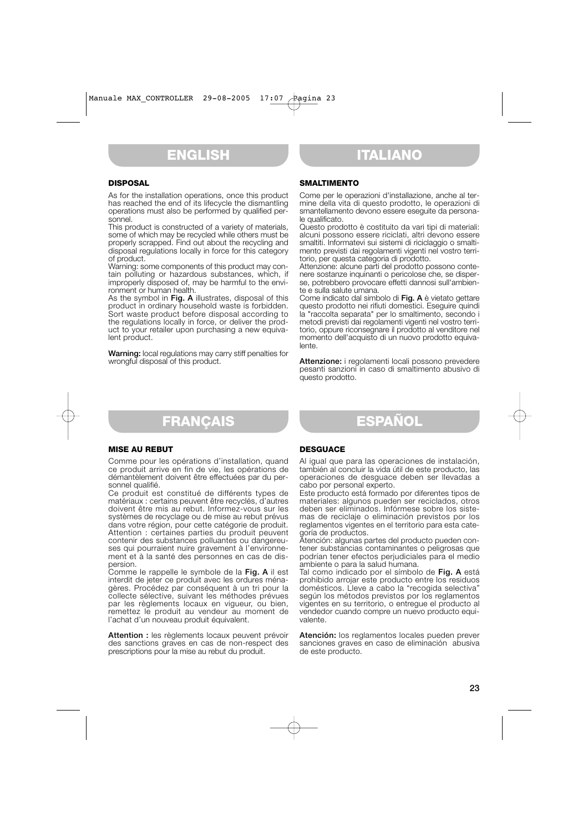# **ENGLISH**

# **ITALIANO**

#### **DISPOSAL**

As for the installation operations, once this product has reached the end of its lifecycle the dismantling operations must also be performed by qualified personnel.

This product is constructed of a variety of materials, some of which may be recycled while others must be properly scrapped. Find out about the recycling and disposal regulations locally in force for this category of product.

Warning: some components of this product may contain polluting or hazardous substances, which, if improperly disposed of, may be harmful to the environment or human health.

As the symbol in **Fig. A** illustrates, disposal of this product in ordinary household waste is forbidden. Sort waste product before disposal according to the regulations locally in force, or deliver the product to your retailer upon purchasing a new equivalent product.

**Warning:** local regulations may carry stiff penalties for wrongful disposal of this product.

#### **SMALTIMENTO**

Come per le operazioni d'installazione, anche al termine della vita di questo prodotto, le operazioni di smantellamento devono essere eseguite da personale qualificato.

Questo prodotto è costituito da vari tipi di materiali: alcuni possono essere riciclati, altri devono essere smaltiti. Informatevi sui sistemi di riciclaggio o smaltimento previsti dai regolamenti vigenti nel vostro territorio, per questa categoria di prodotto.

Attenzione: alcune parti del prodotto possono contenere sostanze inquinanti o pericolose che, se disperse, potrebbero provocare effetti dannosi sull'ambiente e sulla salute umana.

Come indicato dal simbolo di **Fig. A** è vietato gettare questo prodotto nei rifiuti domestici. Eseguire quindi la "raccolta separata" per lo smaltimento, secondo i metodi previsti dai regolamenti vigenti nel vostro territorio, oppure riconsegnare il prodotto al venditore nel momento dell'acquisto di un nuovo prodotto equivalente.

**Attenzione:** i regolamenti locali possono prevedere pesanti sanzioni in caso di smaltimento abusivo di questo prodotto.

# **FRANÇAIS**

#### **MISE AU REBUT**

Comme pour les opérations d'installation, quand ce produit arrive en fin de vie, les opérations de démantèlement doivent être effectuées par du personnel qualifié.

Ce produit est constitué de différents types de matériaux : certains peuvent être recyclés, d'autres doivent être mis au rebut. Informez-vous sur les systèmes de recyclage ou de mise au rebut prévus dans votre région, pour cette catégorie de produit. Attention : certaines parties du produit peuvent contenir des substances polluantes ou dangereuses qui pourraient nuire gravement à l'environnement et à la santé des personnes en cas de dispersion.

Comme le rappelle le symbole de la **Fig. A** il est interdit de jeter ce produit avec les ordures ménagères. Procédez par conséquent à un tri pour la collecte sélective, suivant les méthodes prévues par les règlements locaux en vigueur, ou bien, remettez le produit au vendeur au moment de l'achat d'un nouveau produit équivalent.

**Attention :** les règlements locaux peuvent prévoir des sanctions graves en cas de non-respect des prescriptions pour la mise au rebut du produit.

# **ESPAÑOL**

#### **DESGUACE**

Al igual que para las operaciones de instalación, también al concluir la vida útil de este producto, las operaciones de desguace deben ser llevadas a cabo por personal experto.

Este producto está formado por diferentes tipos de materiales: algunos pueden ser reciclados, otros deben ser eliminados. Infórmese sobre los sistemas de reciclaje o eliminación previstos por los reglamentos vigentes en el territorio para esta categoría de productos.

Atención: algunas partes del producto pueden contener substancias contaminantes o peligrosas que podrían tener efectos perjudiciales para el medio ambiente o para la salud humana.

Tal como indicado por el símbolo de **Fig. A** está prohibido arrojar este producto entre los residuos domésticos. Lleve a cabo la "recogida selectiva" según los métodos previstos por los reglamentos vigentes en su territorio, o entregue el producto al vendedor cuando compre un nuevo producto equivalente.

**Atención:** los reglamentos locales pueden prever sanciones graves en caso de eliminación abusiva de este producto.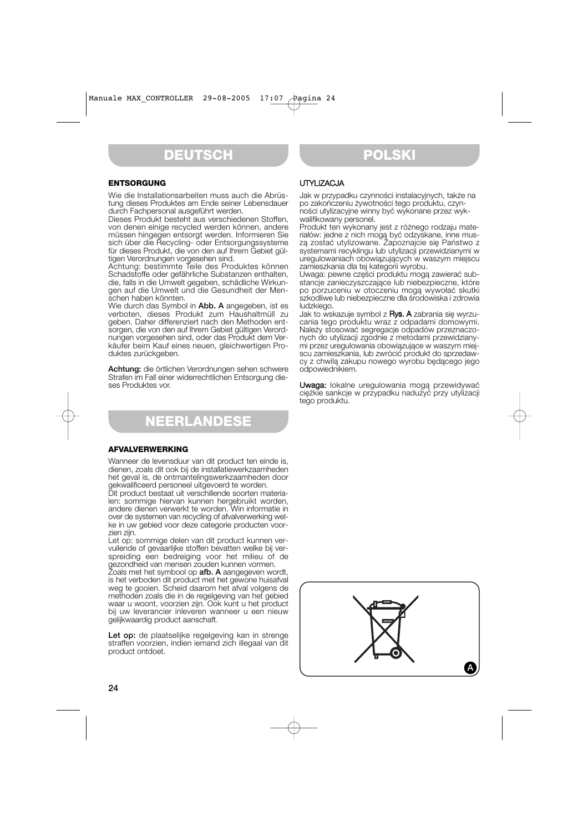# **DEUTSCH**

# **POLSKI**

#### **ENTSORGUNG**

Wie die Installationsarbeiten muss auch die Abrüstung dieses Produktes am Ende seiner Lebensdauer durch Fachpersonal ausgeführt werden.

Dieses Produkt besteht aus verschiedenen Stoffen, von denen einige recycled werden können, andere müssen hingegen entsorgt werden. Informieren Sie sich über die Recycling- oder Entsorgungssysteme für dieses Produkt, die von den auf Ihrem Gebiet gültigen Verordnungen vorgesehen sind.

Achtung: bestimmte Teile des Produktes können Schadstoffe oder gefährliche Substanzen enthalten, die, falls in die Umwelt gegeben, schädliche Wirkungen auf die Umwelt und die Gesundheit der Menschen haben könnten.

Wie durch das Symbol in **Abb. A** angegeben, ist es verboten, dieses Produkt zum Haushaltmüll zu geben. Daher differenziert nach den Methoden entsorgen, die von den auf Ihrem Gebiet gültigen Verordnungen vorgesehen sind, oder das Produkt dem Verkäufer beim Kauf eines neuen, gleichwertigen Produktes zurückgeben.

**Achtung:** die örtlichen Verordnungen sehen schwere Strafen im Fall einer widerrechtlichen Entsorgung dieses Produktes vor.

#### UTYLIZACJA

Jak w przypadku czynności instalacyjnych, także na po zakończeniu żywotności tego produktu, czynności utylizacyjne winny być wykonane przez wykwalifikowany personel.

Produkt ten wykonany jest z różnego rodzaju materiałów: jedne z nich mogą być odzyskane, inne muszą zostać utylizowane. Zapoznajcie się Państwo z systemami recyklingu lub utylizacji przewidzianymi w uregulowaniach obowiązujących w waszym miejscu zamieszkania dla tej kategorii wyrobu.

Uwaga: pewne części produktu mogą zawierać substancje zanieczyszczające lub niebezpieczne, które po porzuceniu w otoczeniu mogą wywołać skutki szkodliwe lub niebezpieczne dla środowiska i zdrowia ludzkiego.

Jak to wskazuje symbol z Rys. A zabrania się wyrzucania tego produktu wraz z odpadami domowymi. Należy stosować segregacje odpadów przeznaczonych do utylizacji zgodnie z metodami przewidzianymi przez uregulowania obowiązujące w waszym miejscu zamieszkania, lub zwrócić produkt do sprzedawcy z chwilą zakupu nowego wyrobu będącego jego odpowiednikiem.

Uwaga: lokalne uregulowania mogą przewidywać ciężkie sankcje w przypadku nadużyć przy utylizacji tego produktu.



#### **AFVALVERWERKING**

Wanneer de levensduur van dit product ten einde is, dienen, zoals dit ook bij de installatiewerkzaamheden het geval is, de ontmantelingswerkzaamheden door gekwalificeerd personeel uitgevoerd te worden.

Dit product bestaat uit verschillende soorten materialen: sommige hiervan kunnen hergebruikt worden, andere dienen verwerkt te worden. Win informatie in over de systemen van recycling of afvalverwerking welke in uw gebied voor deze categorie producten voorzien zijn.

Let op: sommige delen van dit product kunnen vervuilende of gevaarlijke stoffen bevatten welke bij verspreiding een bedreiging voor het milieu of de gezondheid van mensen zouden kunnen vormen.

Zoals met het symbool op **afb. A** aangegeven wordt, is het verboden dit product met het gewone huisafval weg te gooien. Scheid daarom het afval volgens de methoden zoals die in de regelgeving van het gebied waar u woont, voorzien zijn. Ook kunt u het product bij uw leverancier inleveren wanneer u een nieuw gelijkwaardig product aanschaft.

Let op: de plaatselijke regelgeving kan in strenge straffen voorzien, indien iemand zich illegaal van dit product ontdoet.

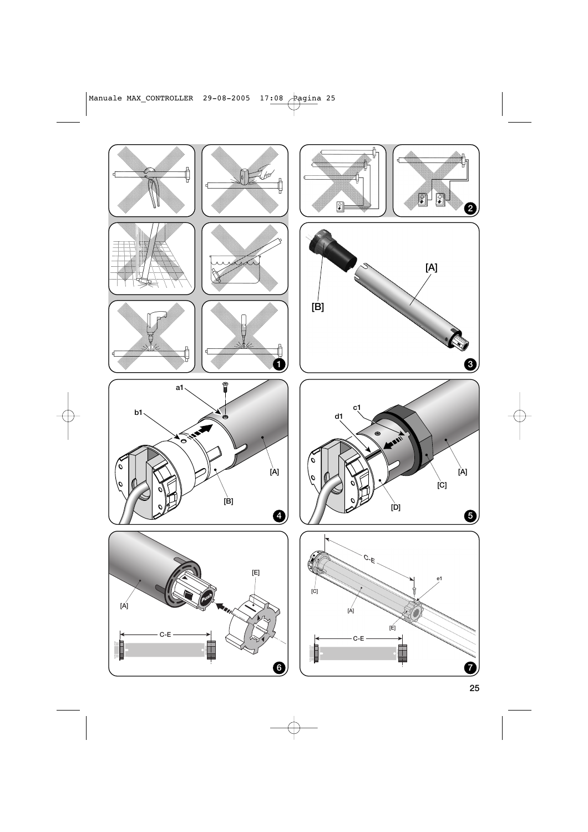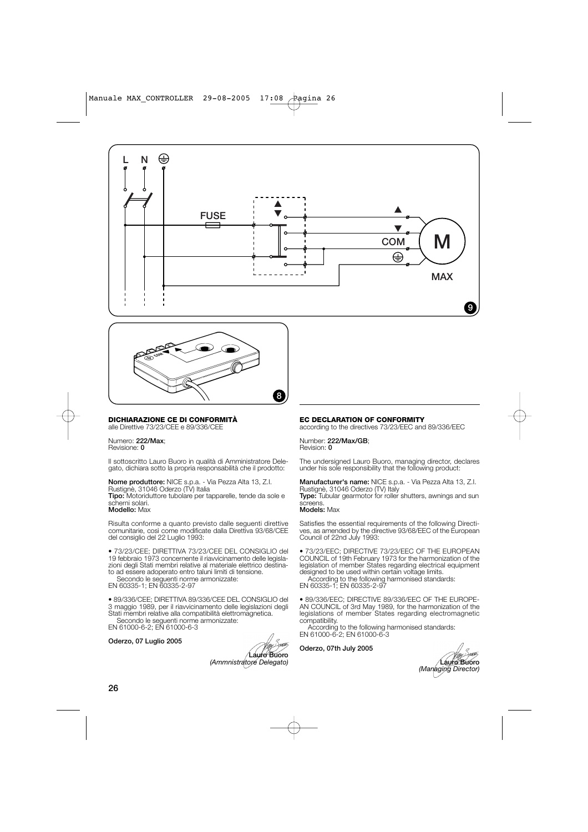



#### **DICHIARAZIONE CE DI CONFORMITÀ**

alle Direttive 73/23/CEE e 89/336/CEE

Numero: **222/Max**; Revisione: **<sup>0</sup>**

Il sottoscritto Lauro Buoro in qualità di Amministratore Delegato, dichiara sotto la propria responsabilità che il prodotto:

**Nome produttore:** NICE s.p.a. - Via Pezza Alta 13, Z.I. Rustignè, 31046 Oderzo (TV) Italia

**Tipo:** Motoriduttore tubolare per tapparelle, tende da sole e scherni solari.

#### **Modello:** Max

Risulta conforme a quanto previsto dalle seguenti direttive comunitarie, così come modificate dalla Direttiva 93/68/CEE del consiglio del 22 Luglio 1993:

• 73/23/CEE; DIRETTIVA 73/23/CEE DEL CONSIGLIO del 19 febbraio 1973 concernente il riavvicinamento delle legislazioni degli Stati membri relative al materiale elettrico destinato ad essere adoperato entro taluni limiti di tensione. Secondo le seguenti norme armonizzate:

EN 60335-1; EN 60335-2-97

• 89/336/CEE; DIRETTIVA 89/336/CEE DEL CONSIGLIO del 3 maggio 1989, per il riavvicinamento delle legislazioni degli Stati membri relative alla compatibilità elettromagnetica.

Secondo le seguenti norme armonizzate: EN 61000-6-2; EN 61000-6-3

**Oderzo, 07 Luglio 2005**



#### **EC DECLARATION OF CONFORMITY**

according to the directives 73/23/EEC and 89/336/EEC

Number: **222/Max/GB**; Revision: **<sup>0</sup>**

The undersigned Lauro Buoro, managing director, declares under his sole responsibility that the following product:

**Manufacturer's name:** NICE s.p.a. - Via Pezza Alta 13, Z.I. Rustignè, 31046 Oderzo (TV) Italy

**Type:** Tubular gearmotor for roller shutters, awnings and sun screens.

**Models:** Max

Satisfies the essential requirements of the following Directives, as amended by the directive 93/68/EEC of the European Council of 22nd July 1993:

• 73/23/EEC; DIRECTIVE 73/23/EEC OF THE EUROPEAN COUNCIL of 19th February 1973 for the harmonization of the legislation of member States regarding electrical equipment designed to be used within certain voltage limits.

According to the following harmonised standards: EN 60335-1; EN 60335-2-97

• 89/336/EEC; DIRECTIVE 89/336/EEC OF THE EUROPE-AN COUNCIL of 3rd May 1989, for the harmonization of the legislations of member States regarding electromagnetic compatibility.

According to the following harmonised standards: EN 61000-6-2; EN 61000-6-3

#### **Oderzo, 07th July 2005**

Super **Lauro Buoro** *(Managing Director)*